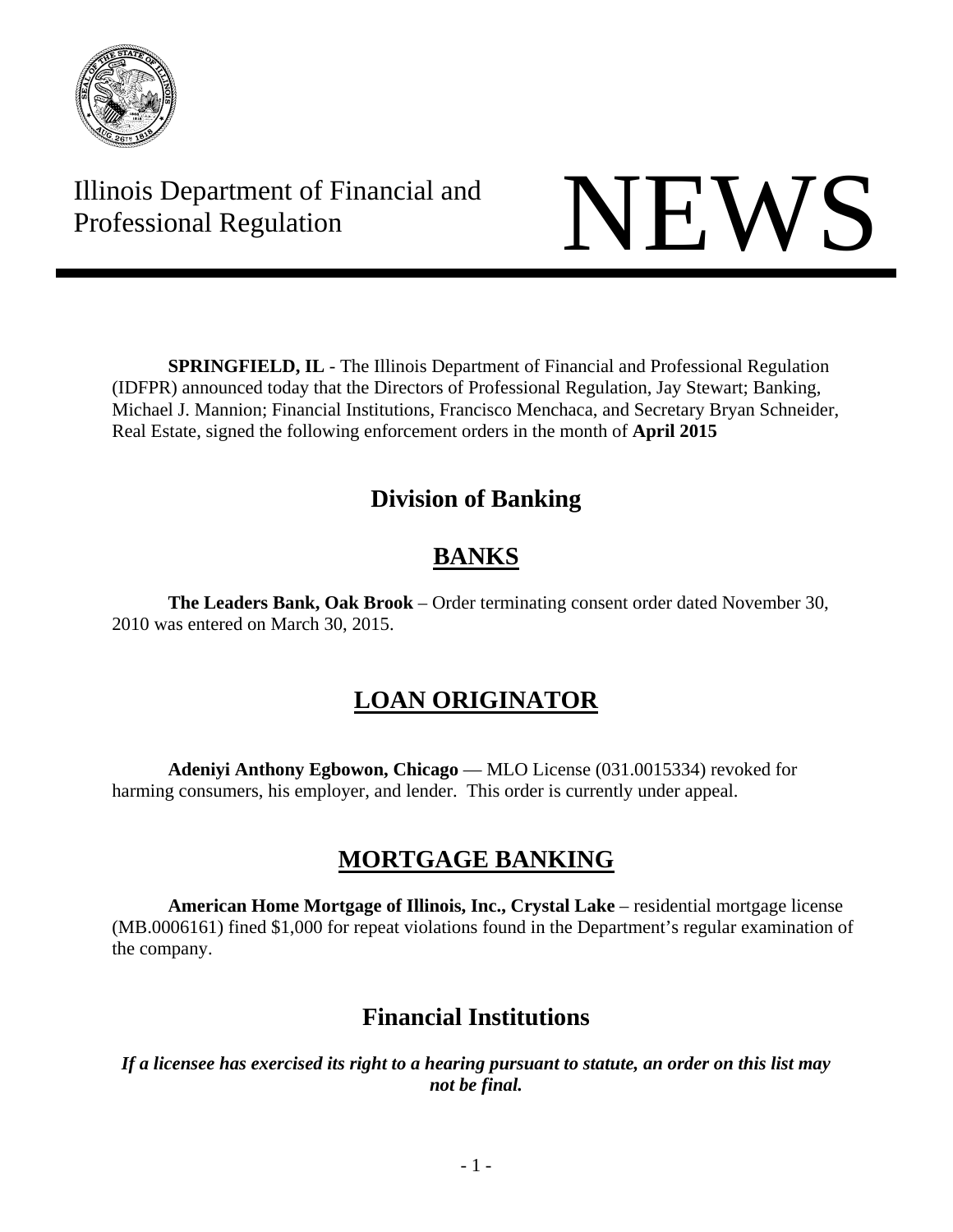

Illinois Department of Financial and Illinois Department of Financial and<br>Professional Regulation



**SPRINGFIELD, IL** - The Illinois Department of Financial and Professional Regulation (IDFPR) announced today that the Directors of Professional Regulation, Jay Stewart; Banking, Michael J. Mannion; Financial Institutions, Francisco Menchaca, and Secretary Bryan Schneider, Real Estate, signed the following enforcement orders in the month of **April 2015** 

## **Division of Banking**

# **BANKS**

**The Leaders Bank, Oak Brook** – Order terminating consent order dated November 30, 2010 was entered on March 30, 2015.

# **LOAN ORIGINATOR**

**Adeniyi Anthony Egbowon, Chicago** — MLO License (031.0015334) revoked for harming consumers, his employer, and lender. This order is currently under appeal.

## **MORTGAGE BANKING**

**American Home Mortgage of Illinois, Inc., Crystal Lake** – residential mortgage license (MB.0006161) fined \$1,000 for repeat violations found in the Department's regular examination of the company.

## **Financial Institutions**

*If a licensee has exercised its right to a hearing pursuant to statute, an order on this list may not be final.*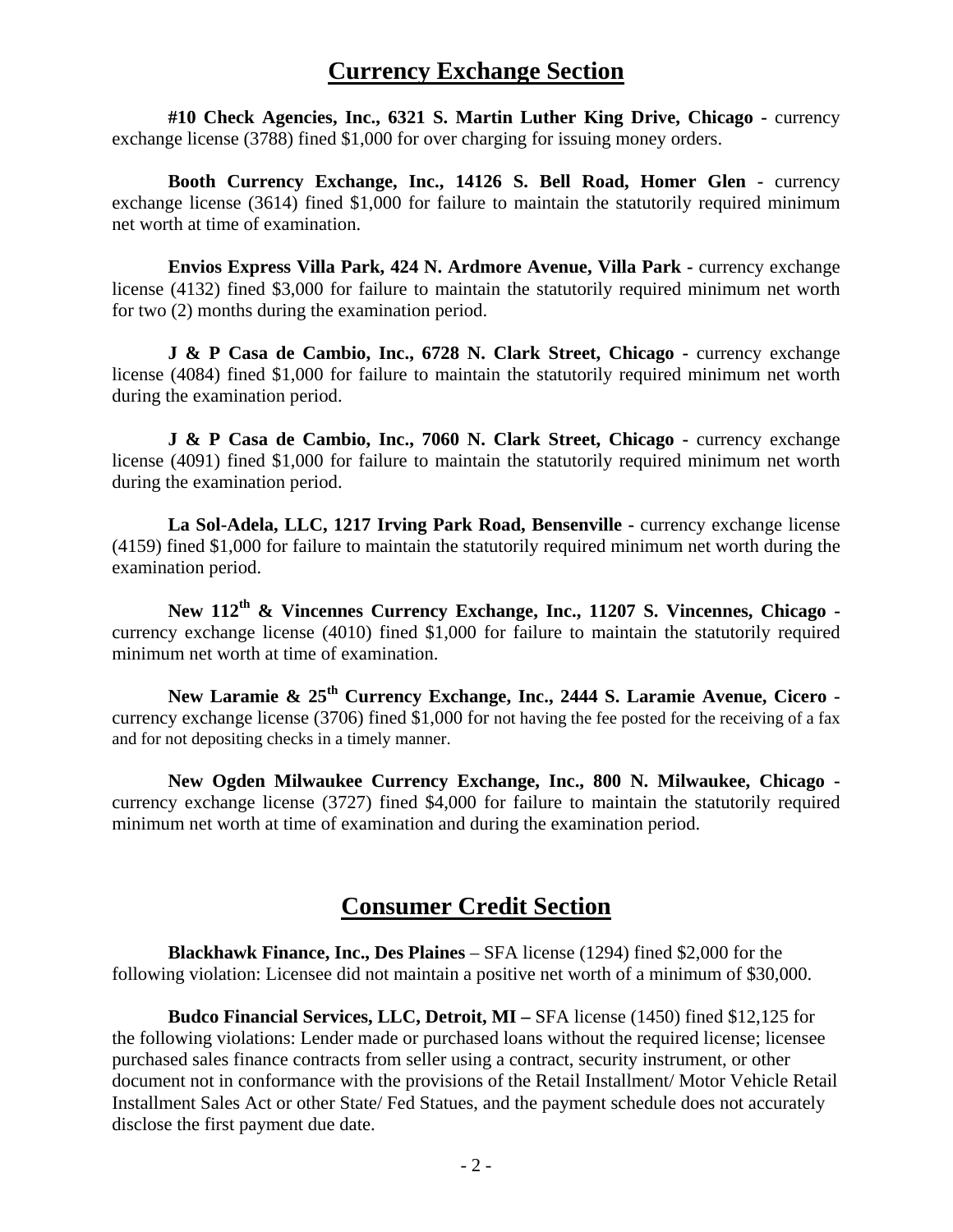### **Currency Exchange Section**

 **#10 Check Agencies, Inc., 6321 S. Martin Luther King Drive, Chicago -** currency exchange license (3788) fined \$1,000 for over charging for issuing money orders.

 **Booth Currency Exchange, Inc., 14126 S. Bell Road, Homer Glen -** currency exchange license (3614) fined \$1,000 for failure to maintain the statutorily required minimum net worth at time of examination.

**Envios Express Villa Park, 424 N. Ardmore Avenue, Villa Park - currency exchange** license (4132) fined \$3,000 for failure to maintain the statutorily required minimum net worth for two (2) months during the examination period.

**J & P Casa de Cambio, Inc., 6728 N. Clark Street, Chicago - currency exchange** license (4084) fined \$1,000 for failure to maintain the statutorily required minimum net worth during the examination period.

**J & P Casa de Cambio, Inc., 7060 N. Clark Street, Chicago - currency exchange** license (4091) fined \$1,000 for failure to maintain the statutorily required minimum net worth during the examination period.

 **La Sol-Adela, LLC, 1217 Irving Park Road, Bensenville -** currency exchange license (4159) fined \$1,000 for failure to maintain the statutorily required minimum net worth during the examination period.

 **New 112th & Vincennes Currency Exchange, Inc., 11207 S. Vincennes, Chicago**  currency exchange license (4010) fined \$1,000 for failure to maintain the statutorily required minimum net worth at time of examination.

 **New Laramie & 25th Currency Exchange, Inc., 2444 S. Laramie Avenue, Cicero**  currency exchange license (3706) fined \$1,000 for not having the fee posted for the receiving of a fax and for not depositing checks in a timely manner.

 **New Ogden Milwaukee Currency Exchange, Inc., 800 N. Milwaukee, Chicago**  currency exchange license (3727) fined \$4,000 for failure to maintain the statutorily required minimum net worth at time of examination and during the examination period.

### **Consumer Credit Section**

 **Blackhawk Finance, Inc., Des Plaines** – SFA license (1294) fined \$2,000 for the following violation: Licensee did not maintain a positive net worth of a minimum of \$30,000.

 **Budco Financial Services, LLC, Detroit, MI –** SFA license (1450) fined \$12,125 for the following violations: Lender made or purchased loans without the required license; licensee purchased sales finance contracts from seller using a contract, security instrument, or other document not in conformance with the provisions of the Retail Installment/ Motor Vehicle Retail Installment Sales Act or other State/ Fed Statues, and the payment schedule does not accurately disclose the first payment due date.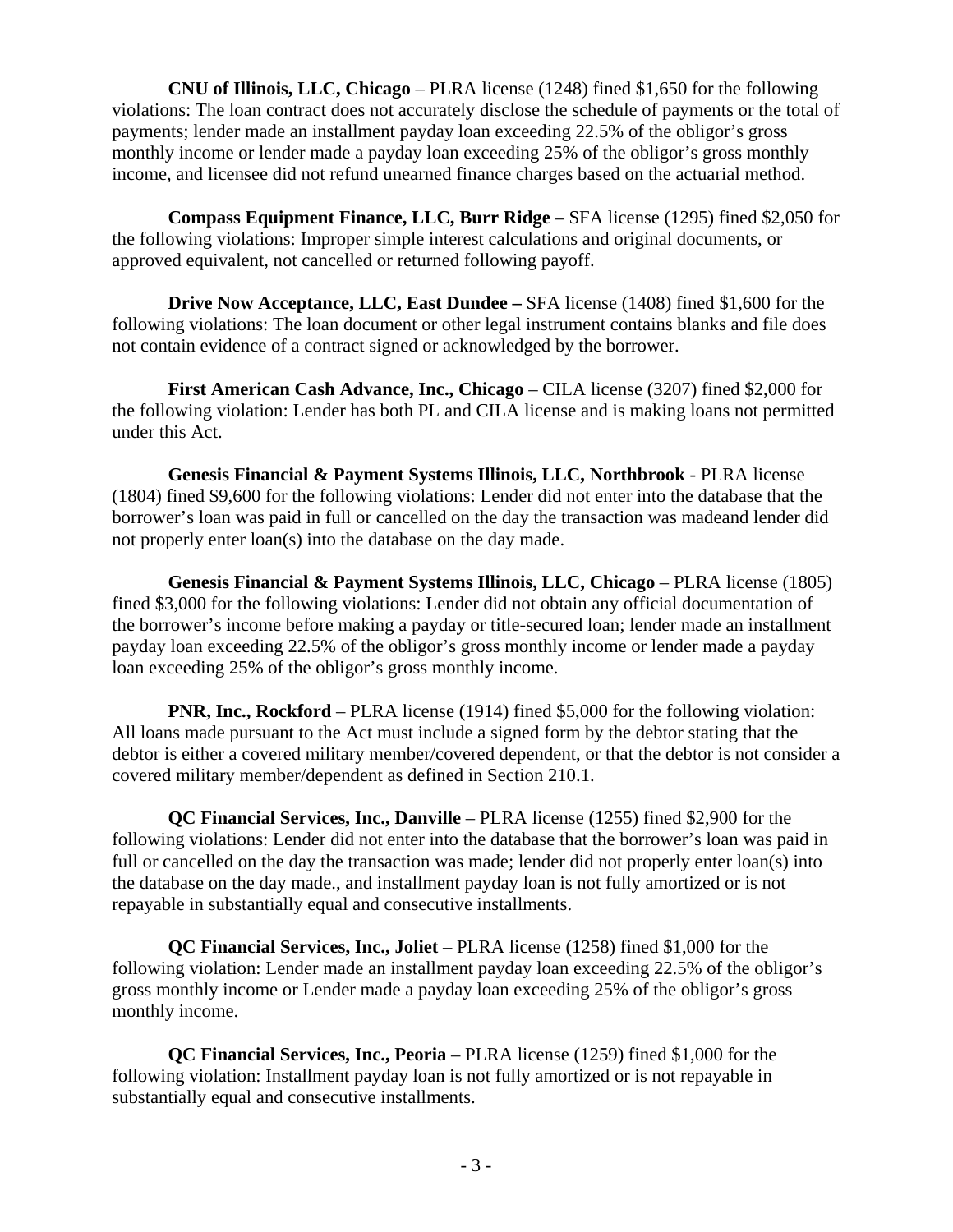**CNU of Illinois, LLC, Chicago** – PLRA license (1248) fined \$1,650 for the following violations: The loan contract does not accurately disclose the schedule of payments or the total of payments; lender made an installment payday loan exceeding 22.5% of the obligor's gross monthly income or lender made a payday loan exceeding 25% of the obligor's gross monthly income, and licensee did not refund unearned finance charges based on the actuarial method.

 **Compass Equipment Finance, LLC, Burr Ridge** – SFA license (1295) fined \$2,050 for the following violations: Improper simple interest calculations and original documents, or approved equivalent, not cancelled or returned following payoff.

 **Drive Now Acceptance, LLC, East Dundee –** SFA license (1408) fined \$1,600 for the following violations: The loan document or other legal instrument contains blanks and file does not contain evidence of a contract signed or acknowledged by the borrower.

**First American Cash Advance, Inc., Chicago** – CILA license (3207) fined \$2,000 for the following violation: Lender has both PL and CILA license and is making loans not permitted under this Act.

 **Genesis Financial & Payment Systems Illinois, LLC, Northbrook** - PLRA license (1804) fined \$9,600 for the following violations: Lender did not enter into the database that the borrower's loan was paid in full or cancelled on the day the transaction was madeand lender did not properly enter loan(s) into the database on the day made.

 **Genesis Financial & Payment Systems Illinois, LLC, Chicago** – PLRA license (1805) fined \$3,000 for the following violations: Lender did not obtain any official documentation of the borrower's income before making a payday or title-secured loan; lender made an installment payday loan exceeding 22.5% of the obligor's gross monthly income or lender made a payday loan exceeding 25% of the obligor's gross monthly income.

**PNR, Inc., Rockford** – PLRA license (1914) fined \$5,000 for the following violation: All loans made pursuant to the Act must include a signed form by the debtor stating that the debtor is either a covered military member/covered dependent, or that the debtor is not consider a covered military member/dependent as defined in Section 210.1.

 **QC Financial Services, Inc., Danville** – PLRA license (1255) fined \$2,900 for the following violations: Lender did not enter into the database that the borrower's loan was paid in full or cancelled on the day the transaction was made; lender did not properly enter loan(s) into the database on the day made., and installment payday loan is not fully amortized or is not repayable in substantially equal and consecutive installments.

 **QC Financial Services, Inc., Joliet** – PLRA license (1258) fined \$1,000 for the following violation: Lender made an installment payday loan exceeding 22.5% of the obligor's gross monthly income or Lender made a payday loan exceeding 25% of the obligor's gross monthly income.

**QC Financial Services, Inc., Peoria** – PLRA license (1259) fined \$1,000 for the following violation: Installment payday loan is not fully amortized or is not repayable in substantially equal and consecutive installments.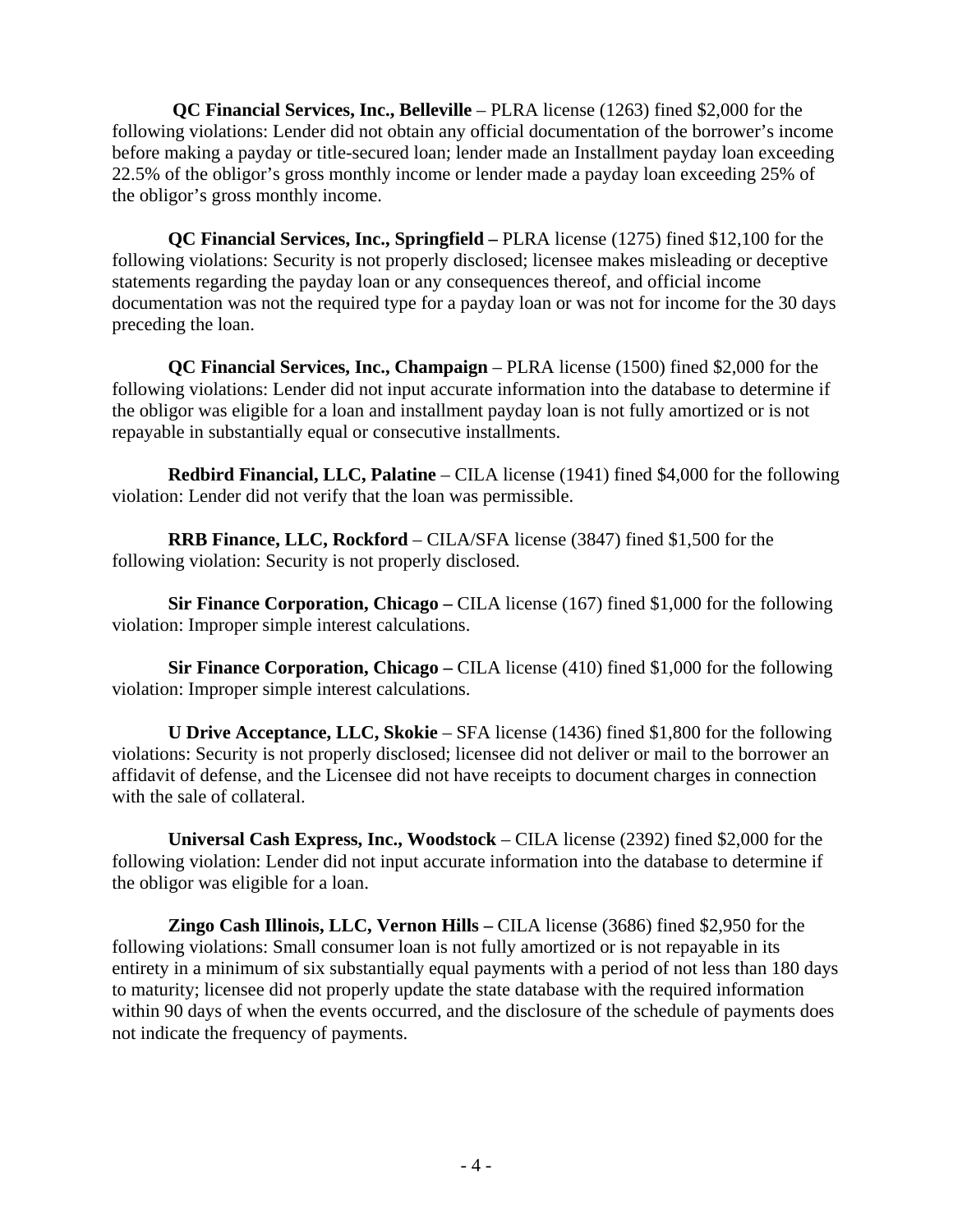**QC Financial Services, Inc., Belleville** – PLRA license (1263) fined \$2,000 for the following violations: Lender did not obtain any official documentation of the borrower's income before making a payday or title-secured loan; lender made an Installment payday loan exceeding 22.5% of the obligor's gross monthly income or lender made a payday loan exceeding 25% of the obligor's gross monthly income.

 **QC Financial Services, Inc., Springfield –** PLRA license (1275) fined \$12,100 for the following violations: Security is not properly disclosed; licensee makes misleading or deceptive statements regarding the payday loan or any consequences thereof, and official income documentation was not the required type for a payday loan or was not for income for the 30 days preceding the loan.

 **QC Financial Services, Inc., Champaign** – PLRA license (1500) fined \$2,000 for the following violations: Lender did not input accurate information into the database to determine if the obligor was eligible for a loan and installment payday loan is not fully amortized or is not repayable in substantially equal or consecutive installments.

 **Redbird Financial, LLC, Palatine** – CILA license (1941) fined \$4,000 for the following violation: Lender did not verify that the loan was permissible.

 **RRB Finance, LLC, Rockford** – CILA/SFA license (3847) fined \$1,500 for the following violation: Security is not properly disclosed.

 **Sir Finance Corporation, Chicago –** CILA license (167) fined \$1,000 for the following violation: Improper simple interest calculations.

 **Sir Finance Corporation, Chicago –** CILA license (410) fined \$1,000 for the following violation: Improper simple interest calculations.

**U Drive Acceptance, LLC, Skokie** – SFA license (1436) fined \$1,800 for the following violations: Security is not properly disclosed; licensee did not deliver or mail to the borrower an affidavit of defense, and the Licensee did not have receipts to document charges in connection with the sale of collateral.

 **Universal Cash Express, Inc., Woodstock** – CILA license (2392) fined \$2,000 for the following violation: Lender did not input accurate information into the database to determine if the obligor was eligible for a loan.

 **Zingo Cash Illinois, LLC, Vernon Hills –** CILA license (3686) fined \$2,950 for the following violations: Small consumer loan is not fully amortized or is not repayable in its entirety in a minimum of six substantially equal payments with a period of not less than 180 days to maturity; licensee did not properly update the state database with the required information within 90 days of when the events occurred, and the disclosure of the schedule of payments does not indicate the frequency of payments.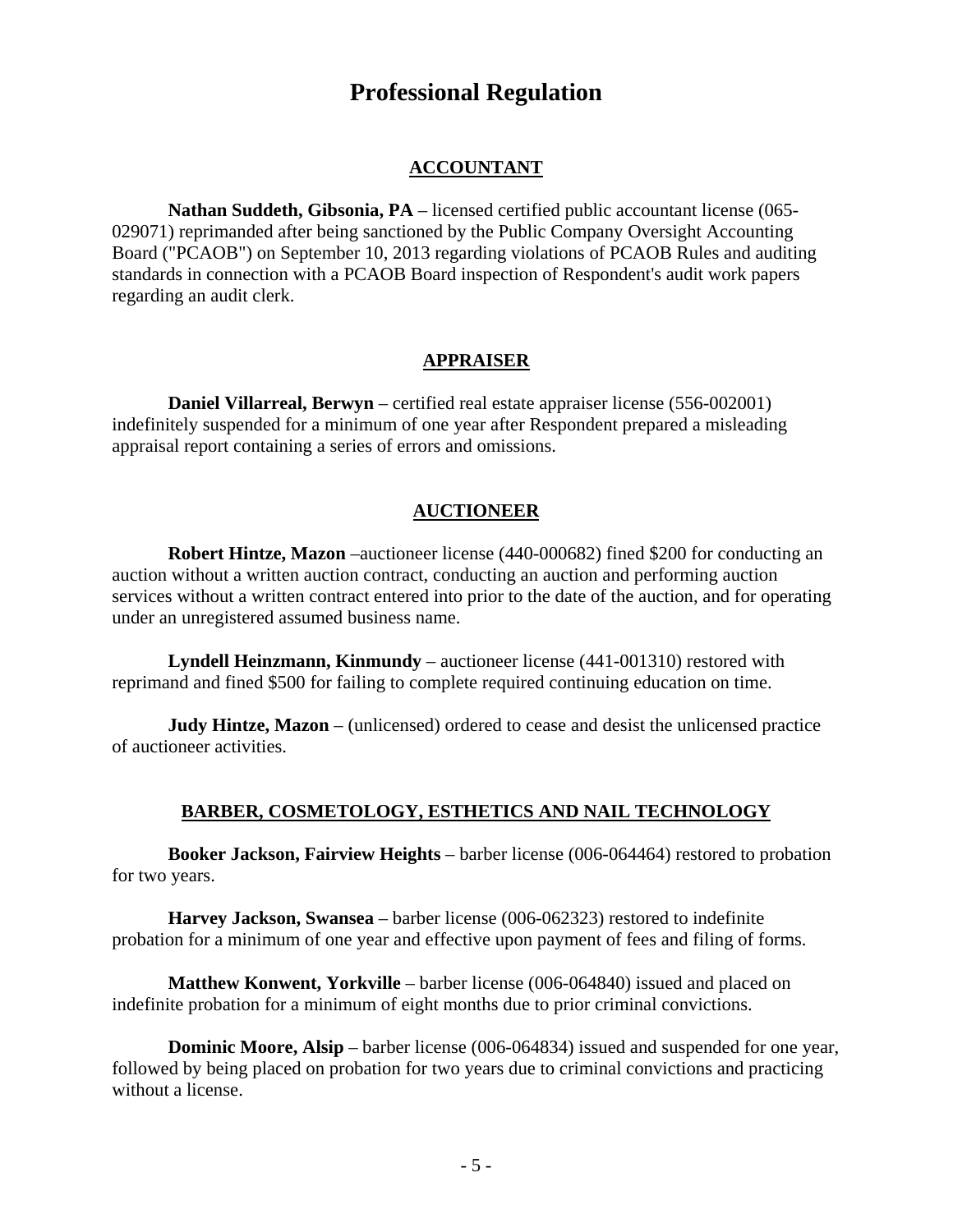## **Professional Regulation**

#### **ACCOUNTANT**

**Nathan Suddeth, Gibsonia, PA** – licensed certified public accountant license (065- 029071) reprimanded after being sanctioned by the Public Company Oversight Accounting Board ("PCAOB") on September 10, 2013 regarding violations of PCAOB Rules and auditing standards in connection with a PCAOB Board inspection of Respondent's audit work papers regarding an audit clerk.

#### **APPRAISER**

**Daniel Villarreal, Berwyn** – certified real estate appraiser license (556-002001) indefinitely suspended for a minimum of one year after Respondent prepared a misleading appraisal report containing a series of errors and omissions.

#### **AUCTIONEER**

**Robert Hintze, Mazon** –auctioneer license (440-000682) fined \$200 for conducting an auction without a written auction contract, conducting an auction and performing auction services without a written contract entered into prior to the date of the auction, and for operating under an unregistered assumed business name.

**Lyndell Heinzmann, Kinmundy** – auctioneer license (441-001310) restored with reprimand and fined \$500 for failing to complete required continuing education on time.

**Judy Hintze, Mazon** – (unlicensed) ordered to cease and desist the unlicensed practice of auctioneer activities.

#### **BARBER, COSMETOLOGY, ESTHETICS AND NAIL TECHNOLOGY**

**Booker Jackson, Fairview Heights** – barber license (006-064464) restored to probation for two years.

**Harvey Jackson, Swansea** – barber license (006-062323) restored to indefinite probation for a minimum of one year and effective upon payment of fees and filing of forms.

**Matthew Konwent, Yorkville** – barber license (006-064840) issued and placed on indefinite probation for a minimum of eight months due to prior criminal convictions.

**Dominic Moore, Alsip** – barber license (006-064834) issued and suspended for one year, followed by being placed on probation for two years due to criminal convictions and practicing without a license.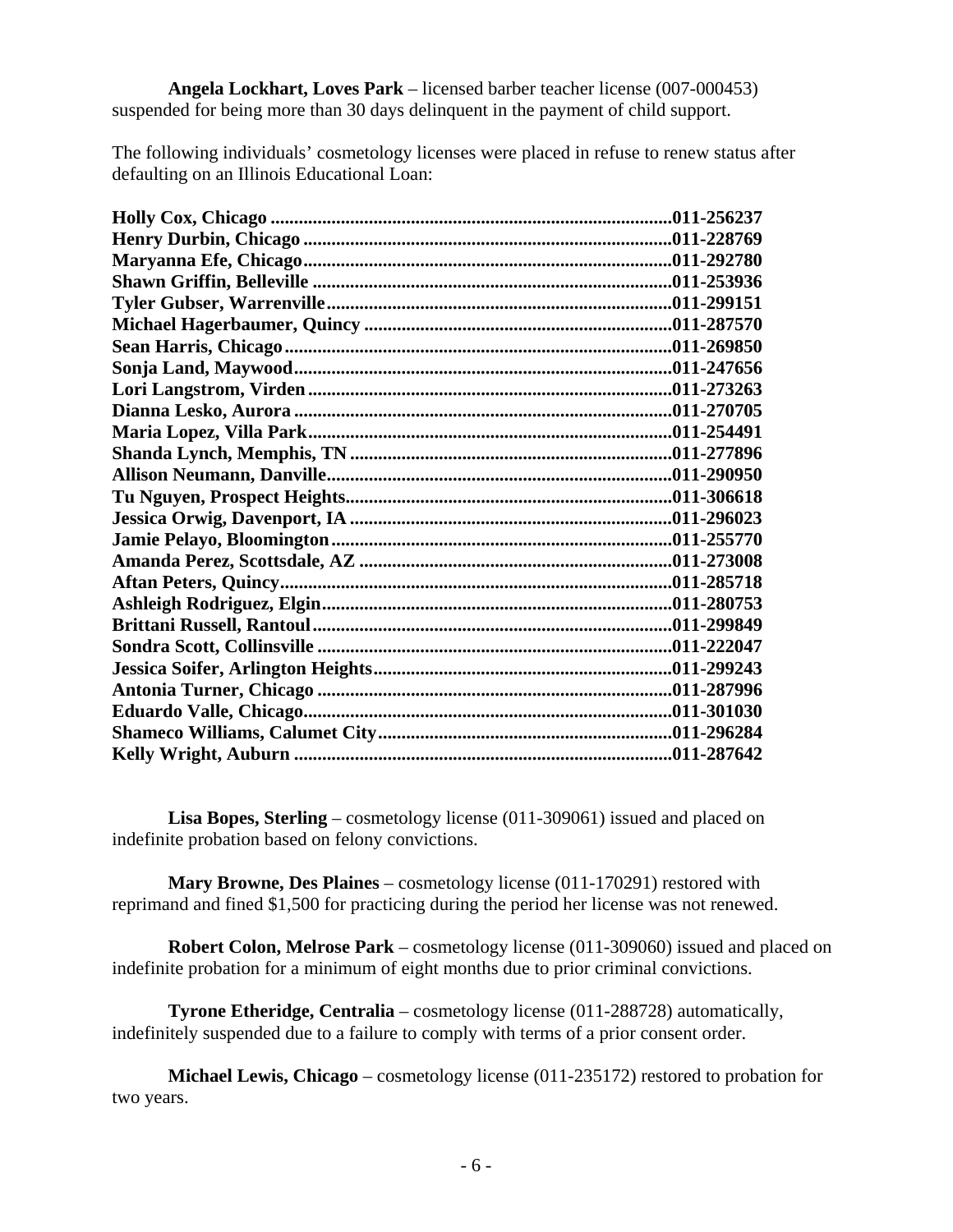**Angela Lockhart, Loves Park** – licensed barber teacher license (007-000453) suspended for being more than 30 days delinquent in the payment of child support.

The following individuals' cosmetology licenses were placed in refuse to renew status after defaulting on an Illinois Educational Loan:

**Lisa Bopes, Sterling** – cosmetology license (011-309061) issued and placed on indefinite probation based on felony convictions.

**Mary Browne, Des Plaines** – cosmetology license (011-170291) restored with reprimand and fined \$1,500 for practicing during the period her license was not renewed.

**Robert Colon, Melrose Park** – cosmetology license (011-309060) issued and placed on indefinite probation for a minimum of eight months due to prior criminal convictions.

**Tyrone Etheridge, Centralia** – cosmetology license (011-288728) automatically, indefinitely suspended due to a failure to comply with terms of a prior consent order.

**Michael Lewis, Chicago** – cosmetology license (011-235172) restored to probation for two years.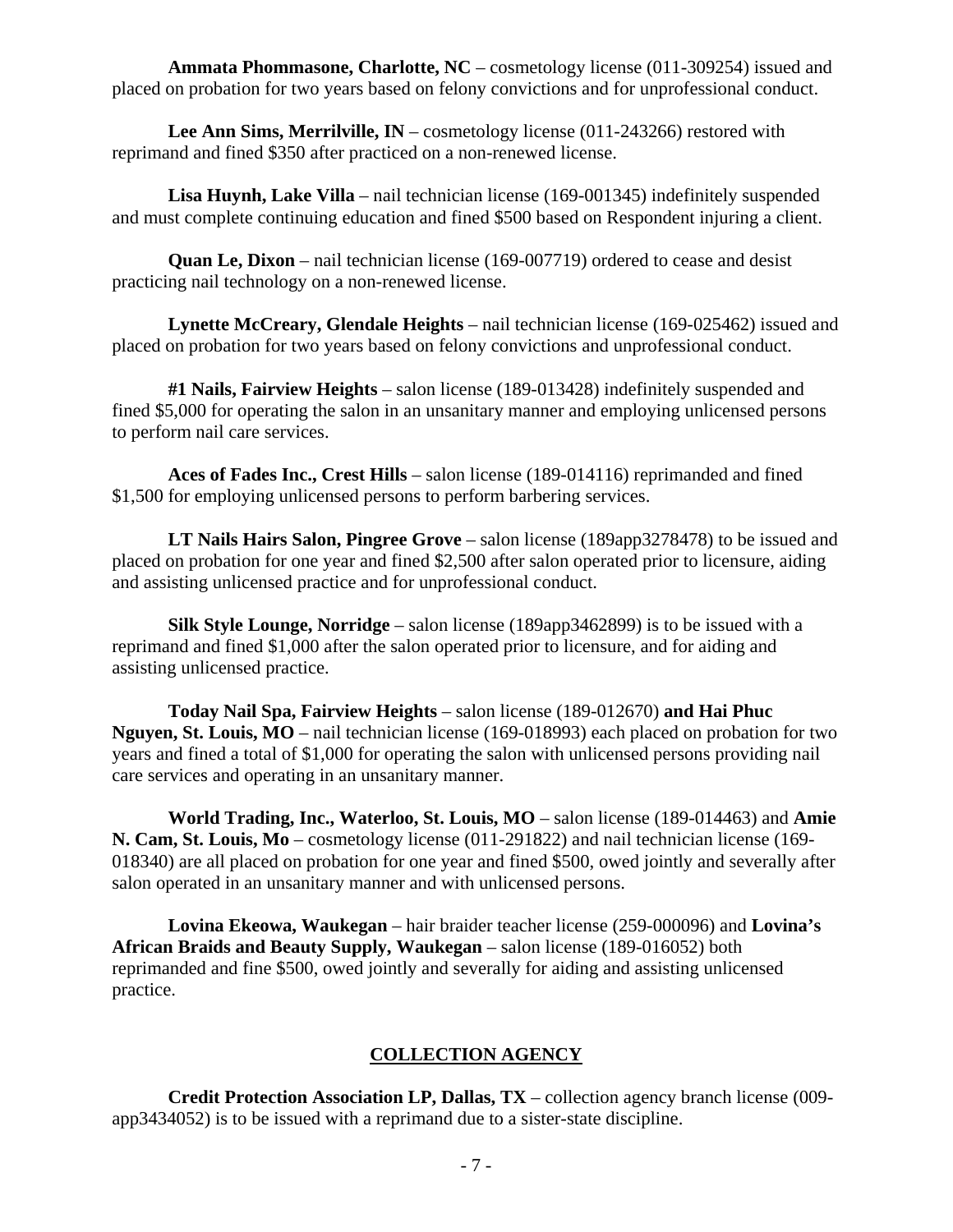**Ammata Phommasone, Charlotte, NC** – cosmetology license (011-309254) issued and placed on probation for two years based on felony convictions and for unprofessional conduct.

**Lee Ann Sims, Merrilville, IN** – cosmetology license (011-243266) restored with reprimand and fined \$350 after practiced on a non-renewed license.

**Lisa Huynh, Lake Villa** – nail technician license (169-001345) indefinitely suspended and must complete continuing education and fined \$500 based on Respondent injuring a client.

**Quan Le, Dixon** – nail technician license (169-007719) ordered to cease and desist practicing nail technology on a non-renewed license.

**Lynette McCreary, Glendale Heights** – nail technician license (169-025462) issued and placed on probation for two years based on felony convictions and unprofessional conduct.

**#1 Nails, Fairview Heights** – salon license (189-013428) indefinitely suspended and fined \$5,000 for operating the salon in an unsanitary manner and employing unlicensed persons to perform nail care services.

**Aces of Fades Inc., Crest Hills** – salon license (189-014116) reprimanded and fined \$1,500 for employing unlicensed persons to perform barbering services.

**LT Nails Hairs Salon, Pingree Grove** – salon license (189app3278478) to be issued and placed on probation for one year and fined \$2,500 after salon operated prior to licensure, aiding and assisting unlicensed practice and for unprofessional conduct.

**Silk Style Lounge, Norridge** – salon license (189app3462899) is to be issued with a reprimand and fined \$1,000 after the salon operated prior to licensure, and for aiding and assisting unlicensed practice.

**Today Nail Spa, Fairview Heights** – salon license (189-012670) **and Hai Phuc Nguyen, St. Louis, MO** – nail technician license (169-018993) each placed on probation for two years and fined a total of \$1,000 for operating the salon with unlicensed persons providing nail care services and operating in an unsanitary manner.

**World Trading, Inc., Waterloo, St. Louis, MO** – salon license (189-014463) and **Amie N. Cam, St. Louis, Mo** – cosmetology license (011-291822) and nail technician license (169- 018340) are all placed on probation for one year and fined \$500, owed jointly and severally after salon operated in an unsanitary manner and with unlicensed persons.

**Lovina Ekeowa, Waukegan** – hair braider teacher license (259-000096) and **Lovina's African Braids and Beauty Supply, Waukegan** – salon license (189-016052) both reprimanded and fine \$500, owed jointly and severally for aiding and assisting unlicensed practice.

#### **COLLECTION AGENCY**

**Credit Protection Association LP, Dallas, TX** – collection agency branch license (009 app3434052) is to be issued with a reprimand due to a sister-state discipline.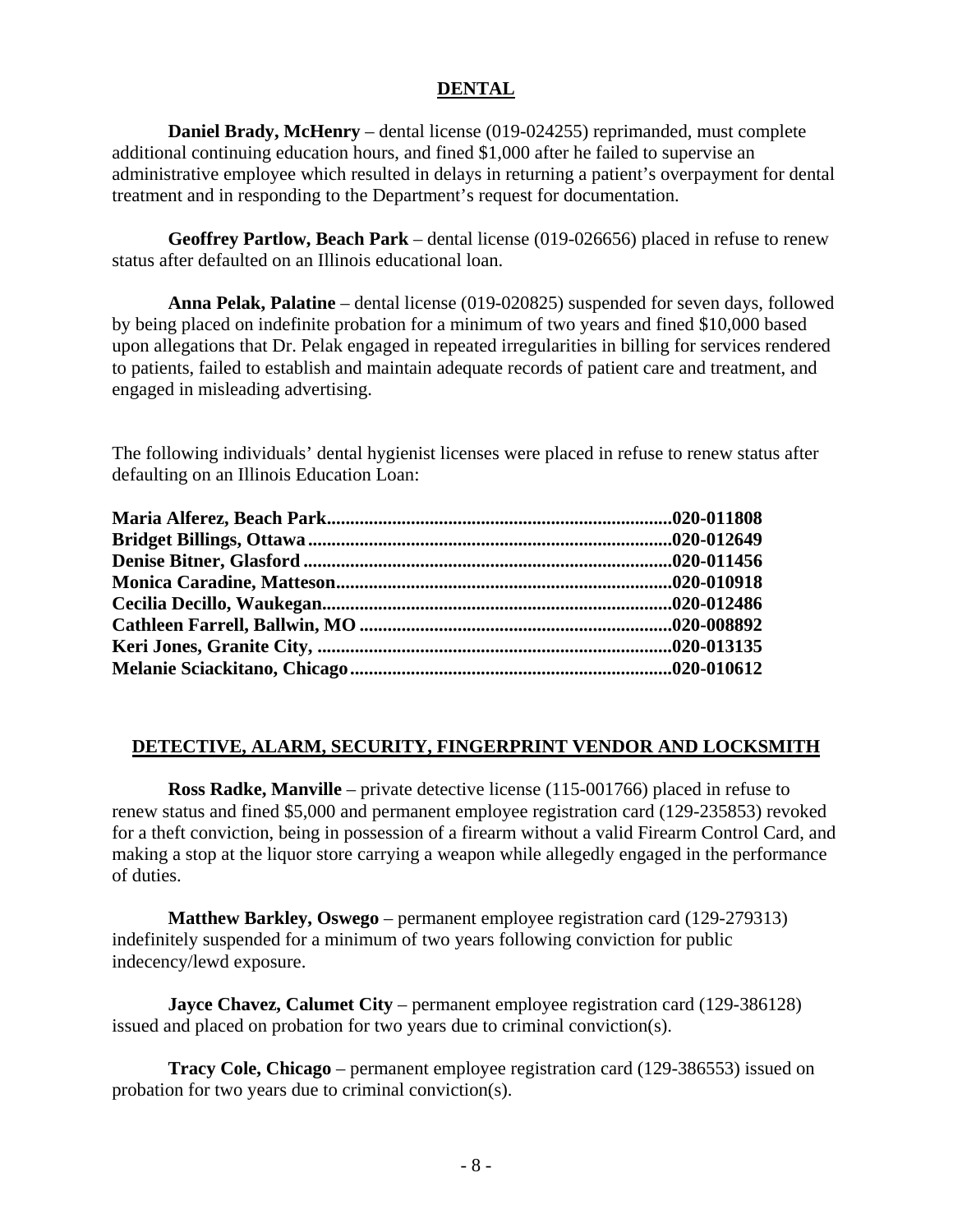#### **DENTAL**

**Daniel Brady, McHenry** – dental license (019-024255) reprimanded, must complete additional continuing education hours, and fined \$1,000 after he failed to supervise an administrative employee which resulted in delays in returning a patient's overpayment for dental treatment and in responding to the Department's request for documentation.

**Geoffrey Partlow, Beach Park** – dental license (019-026656) placed in refuse to renew status after defaulted on an Illinois educational loan.

**Anna Pelak, Palatine** – dental license (019-020825) suspended for seven days, followed by being placed on indefinite probation for a minimum of two years and fined \$10,000 based upon allegations that Dr. Pelak engaged in repeated irregularities in billing for services rendered to patients, failed to establish and maintain adequate records of patient care and treatment, and engaged in misleading advertising.

The following individuals' dental hygienist licenses were placed in refuse to renew status after defaulting on an Illinois Education Loan:

#### **DETECTIVE, ALARM, SECURITY, FINGERPRINT VENDOR AND LOCKSMITH**

**Ross Radke, Manville** – private detective license (115-001766) placed in refuse to renew status and fined \$5,000 and permanent employee registration card (129-235853) revoked for a theft conviction, being in possession of a firearm without a valid Firearm Control Card, and making a stop at the liquor store carrying a weapon while allegedly engaged in the performance of duties.

**Matthew Barkley, Oswego** – permanent employee registration card (129-279313) indefinitely suspended for a minimum of two years following conviction for public indecency/lewd exposure.

**Jayce Chavez, Calumet City** – permanent employee registration card (129-386128) issued and placed on probation for two years due to criminal conviction(s).

**Tracy Cole, Chicago** – permanent employee registration card (129-386553) issued on probation for two years due to criminal conviction(s).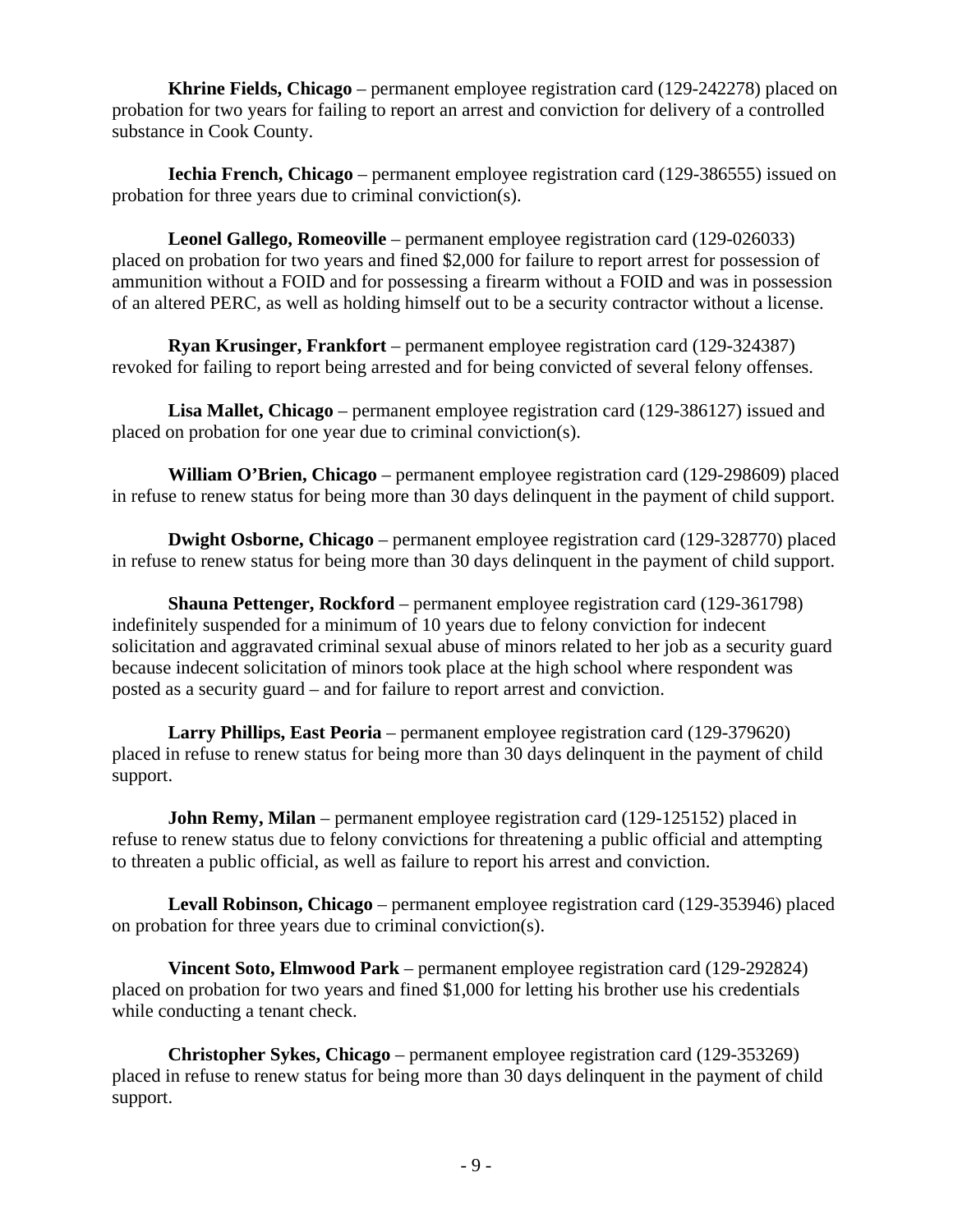**Khrine Fields, Chicago** – permanent employee registration card (129-242278) placed on probation for two years for failing to report an arrest and conviction for delivery of a controlled substance in Cook County.

**Iechia French, Chicago** – permanent employee registration card (129-386555) issued on probation for three years due to criminal conviction(s).

**Leonel Gallego, Romeoville** – permanent employee registration card (129-026033) placed on probation for two years and fined \$2,000 for failure to report arrest for possession of ammunition without a FOID and for possessing a firearm without a FOID and was in possession of an altered PERC, as well as holding himself out to be a security contractor without a license.

**Ryan Krusinger, Frankfort** – permanent employee registration card (129-324387) revoked for failing to report being arrested and for being convicted of several felony offenses.

**Lisa Mallet, Chicago** – permanent employee registration card (129-386127) issued and placed on probation for one year due to criminal conviction(s).

**William O'Brien, Chicago** – permanent employee registration card (129-298609) placed in refuse to renew status for being more than 30 days delinquent in the payment of child support.

**Dwight Osborne, Chicago** – permanent employee registration card (129-328770) placed in refuse to renew status for being more than 30 days delinquent in the payment of child support.

**Shauna Pettenger, Rockford** – permanent employee registration card (129-361798) indefinitely suspended for a minimum of 10 years due to felony conviction for indecent solicitation and aggravated criminal sexual abuse of minors related to her job as a security guard because indecent solicitation of minors took place at the high school where respondent was posted as a security guard – and for failure to report arrest and conviction.

**Larry Phillips, East Peoria** – permanent employee registration card (129-379620) placed in refuse to renew status for being more than 30 days delinquent in the payment of child support.

**John Remy, Milan** – permanent employee registration card (129-125152) placed in refuse to renew status due to felony convictions for threatening a public official and attempting to threaten a public official, as well as failure to report his arrest and conviction.

**Levall Robinson, Chicago** – permanent employee registration card (129-353946) placed on probation for three years due to criminal conviction(s).

**Vincent Soto, Elmwood Park** – permanent employee registration card (129-292824) placed on probation for two years and fined \$1,000 for letting his brother use his credentials while conducting a tenant check.

**Christopher Sykes, Chicago** – permanent employee registration card (129-353269) placed in refuse to renew status for being more than 30 days delinquent in the payment of child support.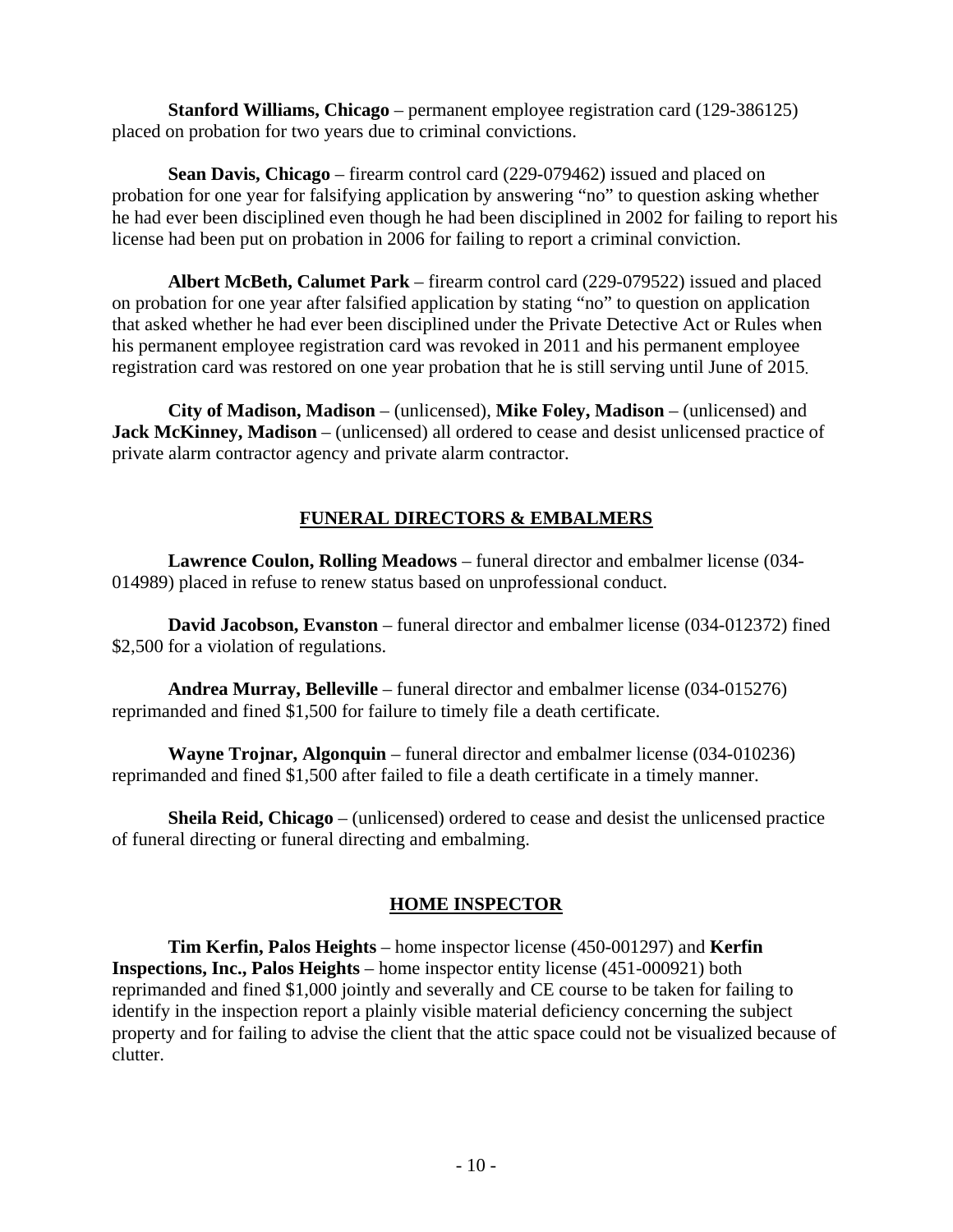**Stanford Williams, Chicago** – permanent employee registration card (129-386125) placed on probation for two years due to criminal convictions.

**Sean Davis, Chicago** – firearm control card (229-079462) issued and placed on probation for one year for falsifying application by answering "no" to question asking whether he had ever been disciplined even though he had been disciplined in 2002 for failing to report his license had been put on probation in 2006 for failing to report a criminal conviction.

**Albert McBeth, Calumet Park** – firearm control card (229-079522) issued and placed on probation for one year after falsified application by stating "no" to question on application that asked whether he had ever been disciplined under the Private Detective Act or Rules when his permanent employee registration card was revoked in 2011 and his permanent employee registration card was restored on one year probation that he is still serving until June of 2015.

**City of Madison, Madison** – (unlicensed), **Mike Foley, Madison** – (unlicensed) and **Jack McKinney, Madison** – (unlicensed) all ordered to cease and desist unlicensed practice of private alarm contractor agency and private alarm contractor.

### **FUNERAL DIRECTORS & EMBALMERS**

**Lawrence Coulon, Rolling Meadows** – funeral director and embalmer license (034- 014989) placed in refuse to renew status based on unprofessional conduct.

**David Jacobson, Evanston** – funeral director and embalmer license (034-012372) fined \$2,500 for a violation of regulations.

**Andrea Murray, Belleville** – funeral director and embalmer license (034-015276) reprimanded and fined \$1,500 for failure to timely file a death certificate.

**Wayne Trojnar, Algonquin** – funeral director and embalmer license (034-010236) reprimanded and fined \$1,500 after failed to file a death certificate in a timely manner.

**Sheila Reid, Chicago** – (unlicensed) ordered to cease and desist the unlicensed practice of funeral directing or funeral directing and embalming.

### **HOME INSPECTOR**

**Tim Kerfin, Palos Heights** – home inspector license (450-001297) and **Kerfin Inspections, Inc., Palos Heights** – home inspector entity license (451-000921) both reprimanded and fined \$1,000 jointly and severally and CE course to be taken for failing to identify in the inspection report a plainly visible material deficiency concerning the subject property and for failing to advise the client that the attic space could not be visualized because of clutter.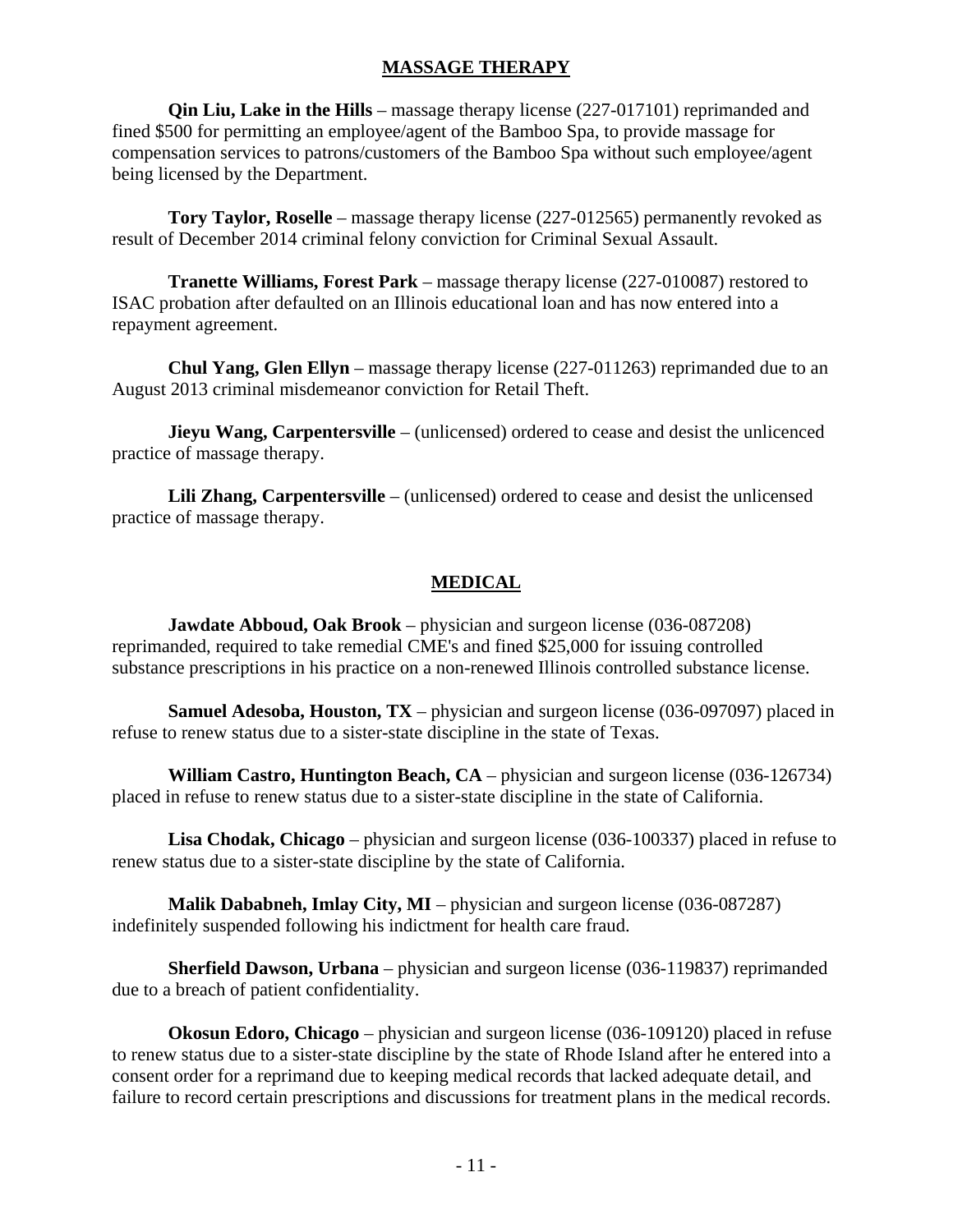#### **MASSAGE THERAPY**

**Qin Liu, Lake in the Hills** – massage therapy license (227-017101) reprimanded and fined \$500 for permitting an employee/agent of the Bamboo Spa, to provide massage for compensation services to patrons/customers of the Bamboo Spa without such employee/agent being licensed by the Department.

**Tory Taylor, Roselle** – massage therapy license (227-012565) permanently revoked as result of December 2014 criminal felony conviction for Criminal Sexual Assault.

**Tranette Williams, Forest Park** – massage therapy license (227-010087) restored to ISAC probation after defaulted on an Illinois educational loan and has now entered into a repayment agreement.

**Chul Yang, Glen Ellyn** – massage therapy license (227-011263) reprimanded due to an August 2013 criminal misdemeanor conviction for Retail Theft.

**Jieyu Wang, Carpentersville** – (unlicensed) ordered to cease and desist the unlicenced practice of massage therapy.

**Lili Zhang, Carpentersville** – (unlicensed) ordered to cease and desist the unlicensed practice of massage therapy.

### **MEDICAL**

**Jawdate Abboud, Oak Brook** – physician and surgeon license (036-087208) reprimanded, required to take remedial CME's and fined \$25,000 for issuing controlled substance prescriptions in his practice on a non-renewed Illinois controlled substance license.

**Samuel Adesoba, Houston, TX** – physician and surgeon license (036-097097) placed in refuse to renew status due to a sister-state discipline in the state of Texas.

**William Castro, Huntington Beach, CA** – physician and surgeon license (036-126734) placed in refuse to renew status due to a sister-state discipline in the state of California.

**Lisa Chodak, Chicago** – physician and surgeon license (036-100337) placed in refuse to renew status due to a sister-state discipline by the state of California.

**Malik Dababneh, Imlay City, MI** – physician and surgeon license (036-087287) indefinitely suspended following his indictment for health care fraud.

**Sherfield Dawson, Urbana** – physician and surgeon license (036-119837) reprimanded due to a breach of patient confidentiality.

**Okosun Edoro, Chicago** – physician and surgeon license (036-109120) placed in refuse to renew status due to a sister-state discipline by the state of Rhode Island after he entered into a consent order for a reprimand due to keeping medical records that lacked adequate detail, and failure to record certain prescriptions and discussions for treatment plans in the medical records.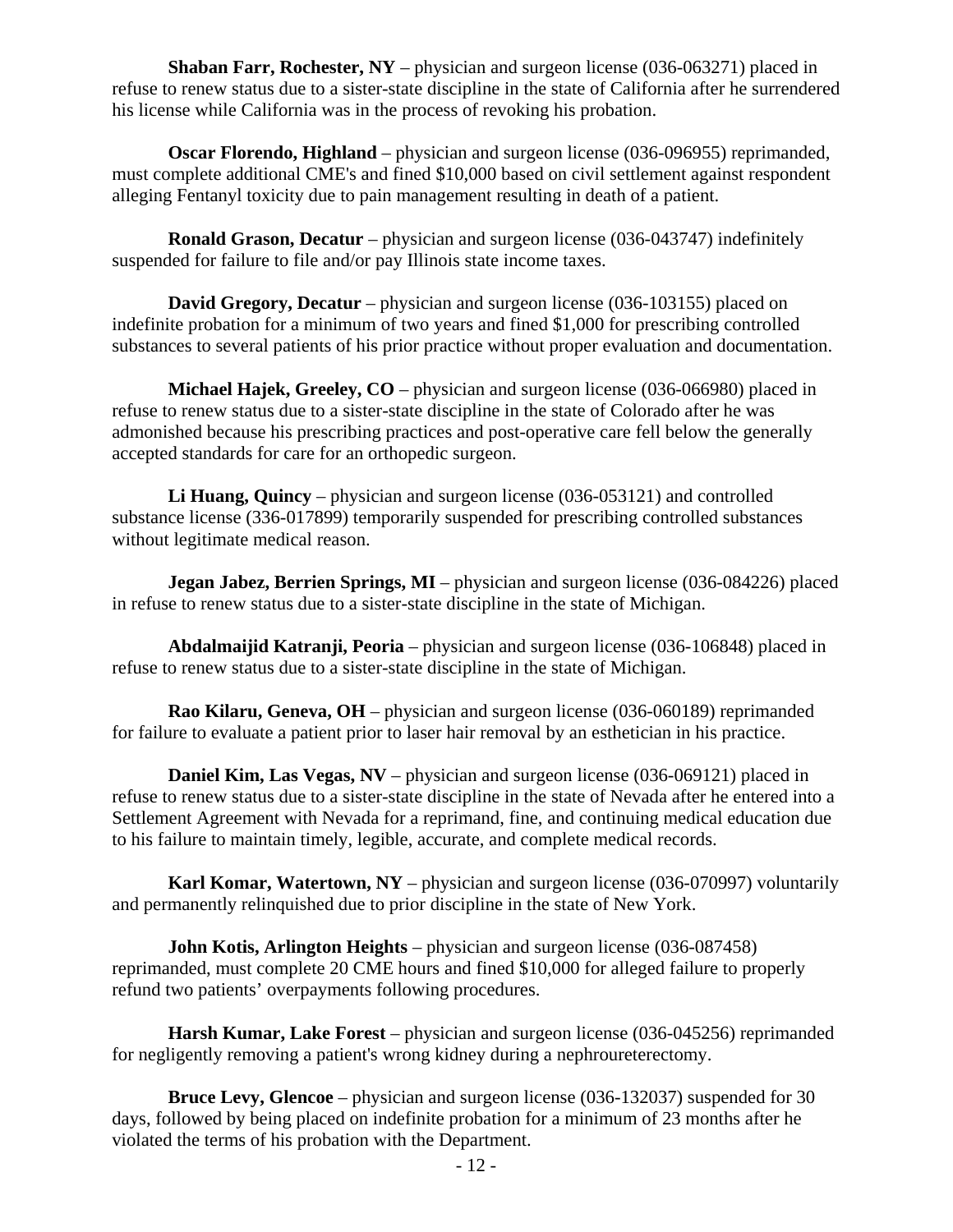**Shaban Farr, Rochester, NY** – physician and surgeon license (036-063271) placed in refuse to renew status due to a sister-state discipline in the state of California after he surrendered his license while California was in the process of revoking his probation.

**Oscar Florendo, Highland** – physician and surgeon license (036-096955) reprimanded, must complete additional CME's and fined \$10,000 based on civil settlement against respondent alleging Fentanyl toxicity due to pain management resulting in death of a patient.

**Ronald Grason, Decatur** – physician and surgeon license (036-043747) indefinitely suspended for failure to file and/or pay Illinois state income taxes.

**David Gregory, Decatur** – physician and surgeon license (036-103155) placed on indefinite probation for a minimum of two years and fined \$1,000 for prescribing controlled substances to several patients of his prior practice without proper evaluation and documentation.

**Michael Hajek, Greeley, CO** – physician and surgeon license (036-066980) placed in refuse to renew status due to a sister-state discipline in the state of Colorado after he was admonished because his prescribing practices and post-operative care fell below the generally accepted standards for care for an orthopedic surgeon.

**Li Huang, Quincy** – physician and surgeon license (036-053121) and controlled substance license (336-017899) temporarily suspended for prescribing controlled substances without legitimate medical reason.

**Jegan Jabez, Berrien Springs, MI** – physician and surgeon license (036-084226) placed in refuse to renew status due to a sister-state discipline in the state of Michigan.

**Abdalmaijid Katranji, Peoria** – physician and surgeon license (036-106848) placed in refuse to renew status due to a sister-state discipline in the state of Michigan.

**Rao Kilaru, Geneva, OH** – physician and surgeon license (036-060189) reprimanded for failure to evaluate a patient prior to laser hair removal by an esthetician in his practice.

**Daniel Kim, Las Vegas, NV** – physician and surgeon license (036-069121) placed in refuse to renew status due to a sister-state discipline in the state of Nevada after he entered into a Settlement Agreement with Nevada for a reprimand, fine, and continuing medical education due to his failure to maintain timely, legible, accurate, and complete medical records.

**Karl Komar, Watertown, NY** – physician and surgeon license (036-070997) voluntarily and permanently relinquished due to prior discipline in the state of New York.

**John Kotis, Arlington Heights** – physician and surgeon license (036-087458) reprimanded, must complete 20 CME hours and fined \$10,000 for alleged failure to properly refund two patients' overpayments following procedures.

**Harsh Kumar, Lake Forest** – physician and surgeon license (036-045256) reprimanded for negligently removing a patient's wrong kidney during a nephroureterectomy.

**Bruce Levy, Glencoe** – physician and surgeon license (036-132037) suspended for 30 days, followed by being placed on indefinite probation for a minimum of 23 months after he violated the terms of his probation with the Department.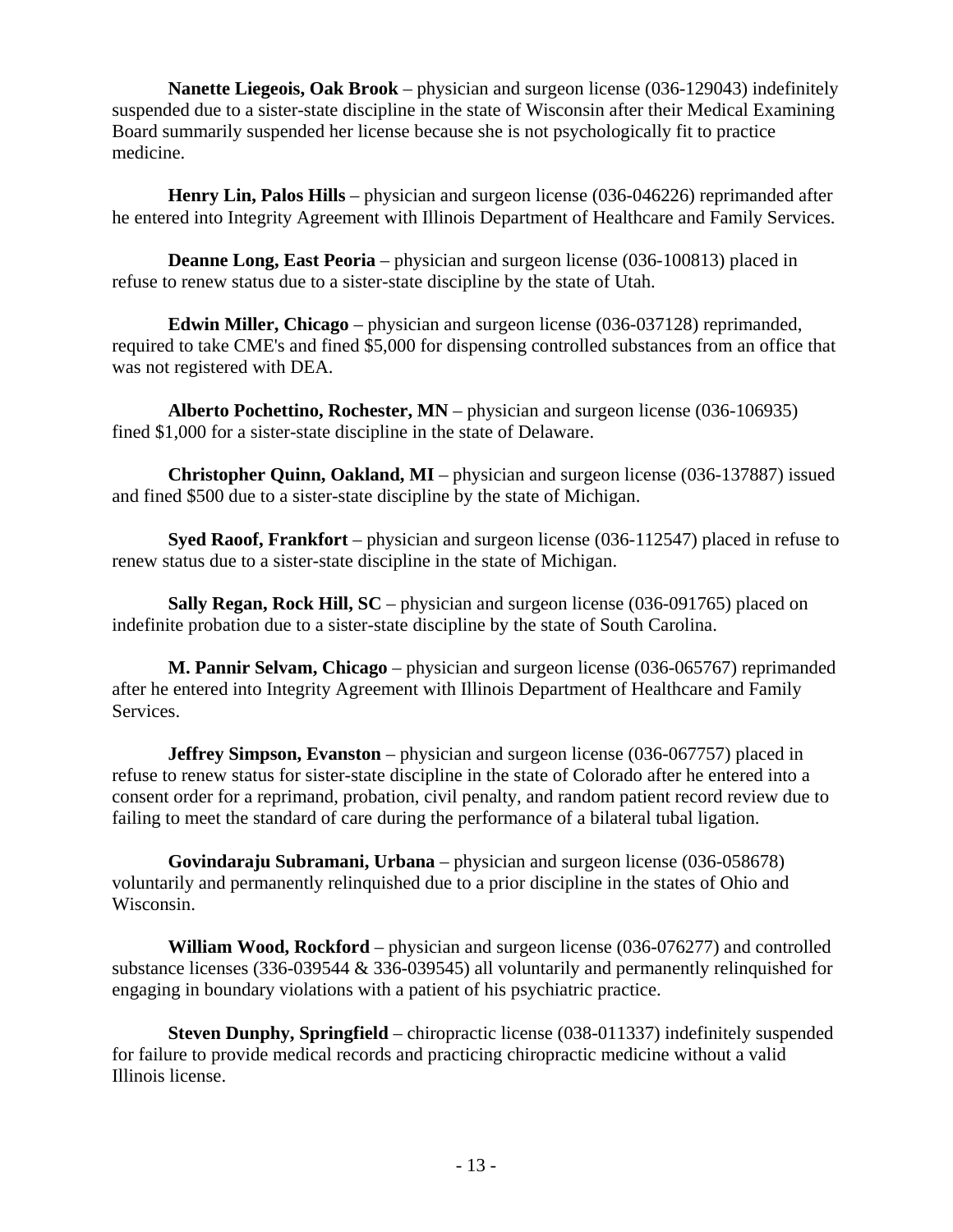**Nanette Liegeois, Oak Brook** – physician and surgeon license (036-129043) indefinitely suspended due to a sister-state discipline in the state of Wisconsin after their Medical Examining Board summarily suspended her license because she is not psychologically fit to practice medicine.

**Henry Lin, Palos Hills** – physician and surgeon license (036-046226) reprimanded after he entered into Integrity Agreement with Illinois Department of Healthcare and Family Services.

**Deanne Long, East Peoria** – physician and surgeon license (036-100813) placed in refuse to renew status due to a sister-state discipline by the state of Utah.

**Edwin Miller, Chicago** – physician and surgeon license (036-037128) reprimanded, required to take CME's and fined \$5,000 for dispensing controlled substances from an office that was not registered with DEA.

**Alberto Pochettino, Rochester, MN** – physician and surgeon license (036-106935) fined \$1,000 for a sister-state discipline in the state of Delaware.

**Christopher Quinn, Oakland, MI** – physician and surgeon license (036-137887) issued and fined \$500 due to a sister-state discipline by the state of Michigan.

**Syed Raoof, Frankfort** – physician and surgeon license (036-112547) placed in refuse to renew status due to a sister-state discipline in the state of Michigan.

**Sally Regan, Rock Hill, SC** – physician and surgeon license (036-091765) placed on indefinite probation due to a sister-state discipline by the state of South Carolina.

**M. Pannir Selvam, Chicago** – physician and surgeon license (036-065767) reprimanded after he entered into Integrity Agreement with Illinois Department of Healthcare and Family Services.

**Jeffrey Simpson, Evanston** – physician and surgeon license (036-067757) placed in refuse to renew status for sister-state discipline in the state of Colorado after he entered into a consent order for a reprimand, probation, civil penalty, and random patient record review due to failing to meet the standard of care during the performance of a bilateral tubal ligation.

**Govindaraju Subramani, Urbana** – physician and surgeon license (036-058678) voluntarily and permanently relinquished due to a prior discipline in the states of Ohio and Wisconsin.

**William Wood, Rockford** – physician and surgeon license (036-076277) and controlled substance licenses (336-039544 & 336-039545) all voluntarily and permanently relinquished for engaging in boundary violations with a patient of his psychiatric practice.

**Steven Dunphy, Springfield** – chiropractic license (038-011337) indefinitely suspended for failure to provide medical records and practicing chiropractic medicine without a valid Illinois license.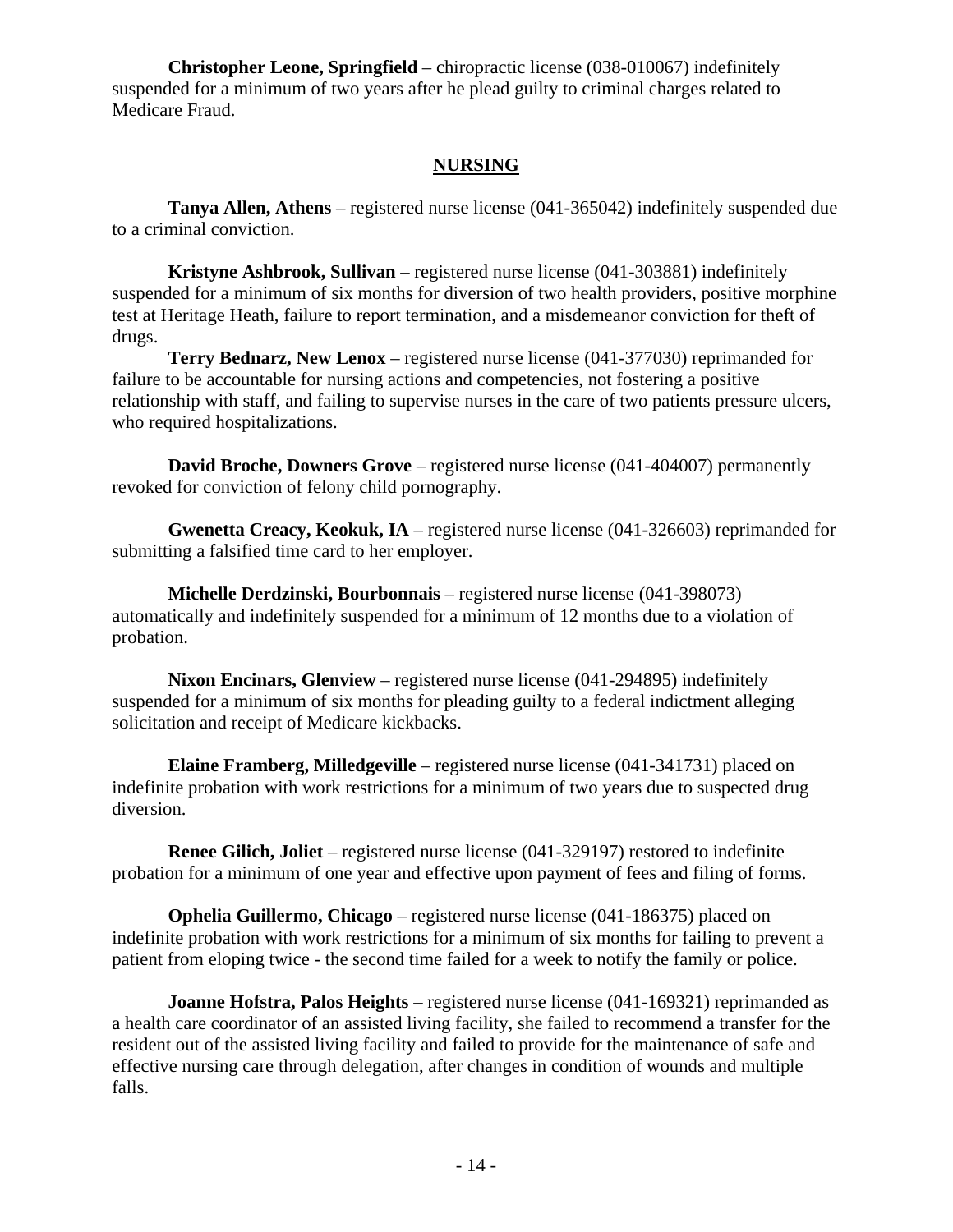**Christopher Leone, Springfield** – chiropractic license (038-010067) indefinitely suspended for a minimum of two years after he plead guilty to criminal charges related to Medicare Fraud.

#### **NURSING**

**Tanya Allen, Athens** – registered nurse license (041-365042) indefinitely suspended due to a criminal conviction.

**Kristyne Ashbrook, Sullivan** – registered nurse license (041-303881) indefinitely suspended for a minimum of six months for diversion of two health providers, positive morphine test at Heritage Heath, failure to report termination, and a misdemeanor conviction for theft of drugs.

**Terry Bednarz, New Lenox** – registered nurse license (041-377030) reprimanded for failure to be accountable for nursing actions and competencies, not fostering a positive relationship with staff, and failing to supervise nurses in the care of two patients pressure ulcers, who required hospitalizations.

**David Broche, Downers Grove** – registered nurse license (041-404007) permanently revoked for conviction of felony child pornography.

**Gwenetta Creacy, Keokuk, IA** – registered nurse license (041-326603) reprimanded for submitting a falsified time card to her employer.

**Michelle Derdzinski, Bourbonnais** – registered nurse license (041-398073) automatically and indefinitely suspended for a minimum of 12 months due to a violation of probation.

**Nixon Encinars, Glenview** – registered nurse license (041-294895) indefinitely suspended for a minimum of six months for pleading guilty to a federal indictment alleging solicitation and receipt of Medicare kickbacks.

**Elaine Framberg, Milledgeville** – registered nurse license (041-341731) placed on indefinite probation with work restrictions for a minimum of two years due to suspected drug diversion.

**Renee Gilich, Joliet** – registered nurse license (041-329197) restored to indefinite probation for a minimum of one year and effective upon payment of fees and filing of forms.

**Ophelia Guillermo, Chicago** – registered nurse license (041-186375) placed on indefinite probation with work restrictions for a minimum of six months for failing to prevent a patient from eloping twice - the second time failed for a week to notify the family or police.

**Joanne Hofstra, Palos Heights** – registered nurse license (041-169321) reprimanded as a health care coordinator of an assisted living facility, she failed to recommend a transfer for the resident out of the assisted living facility and failed to provide for the maintenance of safe and effective nursing care through delegation, after changes in condition of wounds and multiple falls.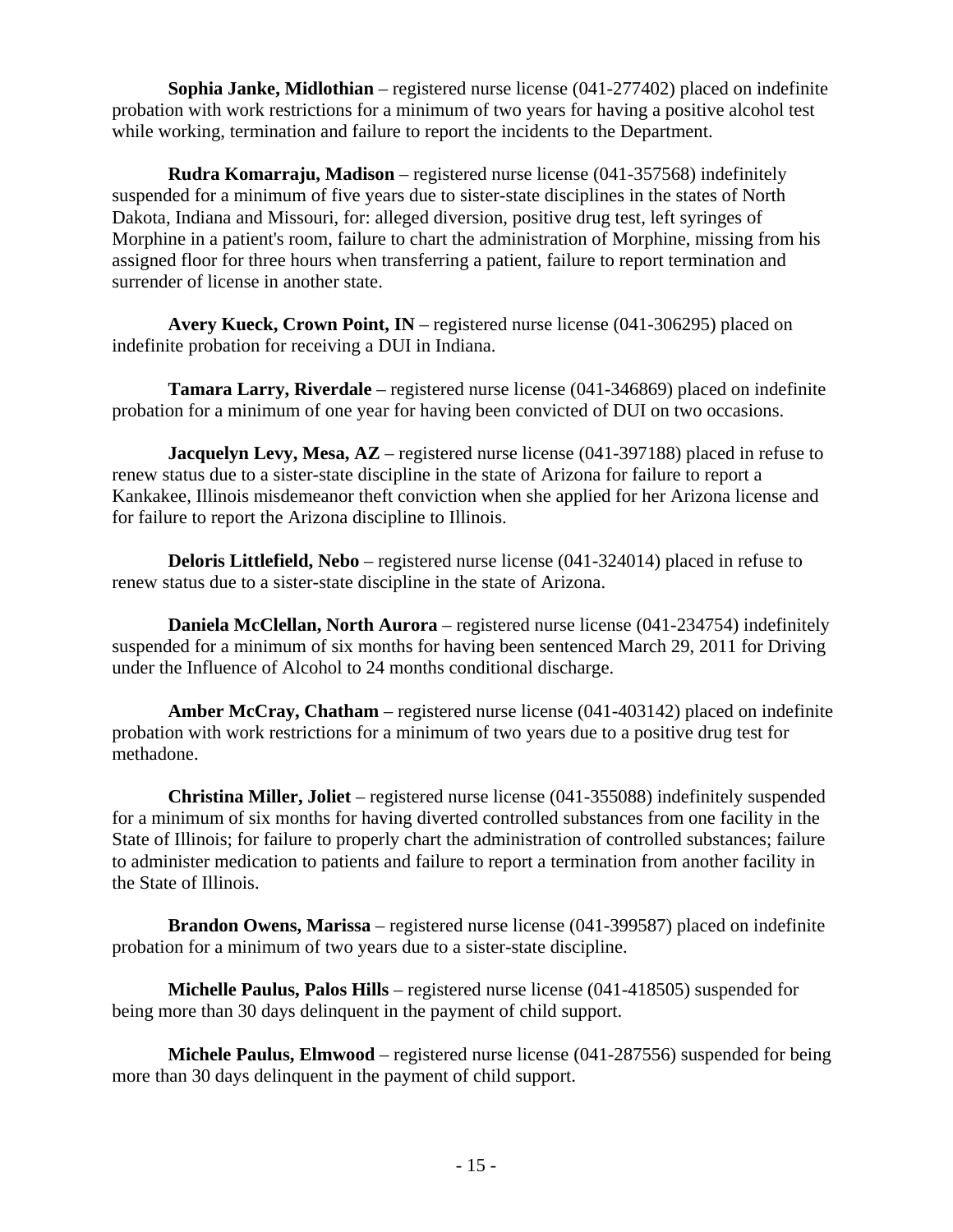**Sophia Janke, Midlothian** – registered nurse license (041-277402) placed on indefinite probation with work restrictions for a minimum of two years for having a positive alcohol test while working, termination and failure to report the incidents to the Department.

**Rudra Komarraju, Madison** – registered nurse license (041-357568) indefinitely suspended for a minimum of five years due to sister-state disciplines in the states of North Dakota, Indiana and Missouri, for: alleged diversion, positive drug test, left syringes of Morphine in a patient's room, failure to chart the administration of Morphine, missing from his assigned floor for three hours when transferring a patient, failure to report termination and surrender of license in another state.

**Avery Kueck, Crown Point, IN** – registered nurse license (041-306295) placed on indefinite probation for receiving a DUI in Indiana.

**Tamara Larry, Riverdale** – registered nurse license (041-346869) placed on indefinite probation for a minimum of one year for having been convicted of DUI on two occasions.

**Jacquelyn Levy, Mesa, AZ** – registered nurse license (041-397188) placed in refuse to renew status due to a sister-state discipline in the state of Arizona for failure to report a Kankakee, Illinois misdemeanor theft conviction when she applied for her Arizona license and for failure to report the Arizona discipline to Illinois.

**Deloris Littlefield, Nebo** – registered nurse license (041-324014) placed in refuse to renew status due to a sister-state discipline in the state of Arizona.

**Daniela McClellan, North Aurora** – registered nurse license (041-234754) indefinitely suspended for a minimum of six months for having been sentenced March 29, 2011 for Driving under the Influence of Alcohol to 24 months conditional discharge.

**Amber McCray, Chatham** – registered nurse license (041-403142) placed on indefinite probation with work restrictions for a minimum of two years due to a positive drug test for methadone.

**Christina Miller, Joliet** – registered nurse license (041-355088) indefinitely suspended for a minimum of six months for having diverted controlled substances from one facility in the State of Illinois; for failure to properly chart the administration of controlled substances; failure to administer medication to patients and failure to report a termination from another facility in the State of Illinois.

**Brandon Owens, Marissa** – registered nurse license (041-399587) placed on indefinite probation for a minimum of two years due to a sister-state discipline.

**Michelle Paulus, Palos Hills** – registered nurse license (041-418505) suspended for being more than 30 days delinquent in the payment of child support.

**Michele Paulus, Elmwood** – registered nurse license (041-287556) suspended for being more than 30 days delinquent in the payment of child support.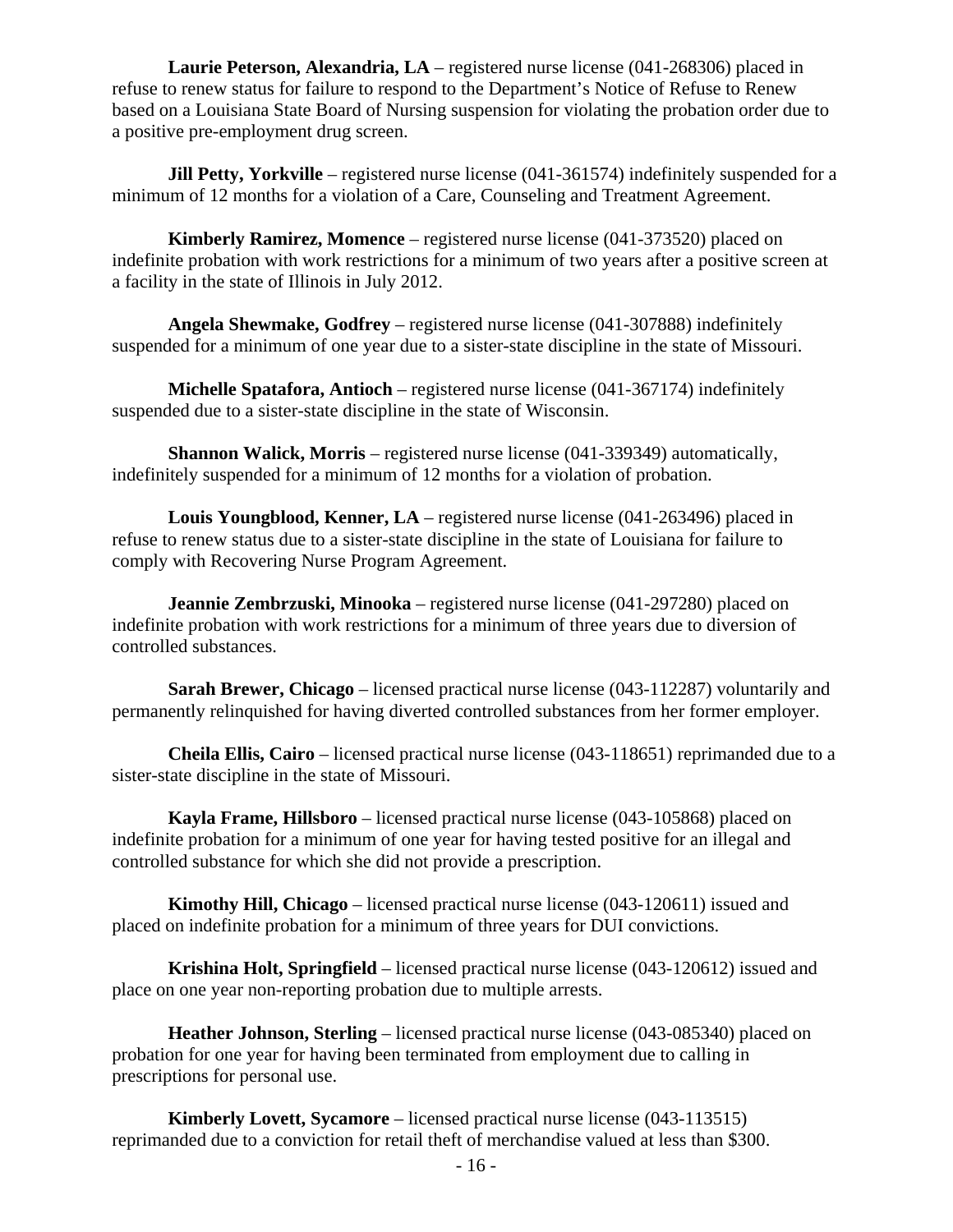**Laurie Peterson, Alexandria, LA** – registered nurse license (041-268306) placed in refuse to renew status for failure to respond to the Department's Notice of Refuse to Renew based on a Louisiana State Board of Nursing suspension for violating the probation order due to a positive pre-employment drug screen.

**Jill Petty, Yorkville** – registered nurse license (041-361574) indefinitely suspended for a minimum of 12 months for a violation of a Care, Counseling and Treatment Agreement.

**Kimberly Ramirez, Momence** – registered nurse license (041-373520) placed on indefinite probation with work restrictions for a minimum of two years after a positive screen at a facility in the state of Illinois in July 2012.

**Angela Shewmake, Godfrey** – registered nurse license (041-307888) indefinitely suspended for a minimum of one year due to a sister-state discipline in the state of Missouri.

**Michelle Spatafora, Antioch** – registered nurse license (041-367174) indefinitely suspended due to a sister-state discipline in the state of Wisconsin.

**Shannon Walick, Morris** – registered nurse license (041-339349) automatically, indefinitely suspended for a minimum of 12 months for a violation of probation.

**Louis Youngblood, Kenner, LA** – registered nurse license (041-263496) placed in refuse to renew status due to a sister-state discipline in the state of Louisiana for failure to comply with Recovering Nurse Program Agreement.

**Jeannie Zembrzuski, Minooka** – registered nurse license (041-297280) placed on indefinite probation with work restrictions for a minimum of three years due to diversion of controlled substances.

**Sarah Brewer, Chicago** – licensed practical nurse license (043-112287) voluntarily and permanently relinquished for having diverted controlled substances from her former employer.

**Cheila Ellis, Cairo** – licensed practical nurse license (043-118651) reprimanded due to a sister-state discipline in the state of Missouri.

**Kayla Frame, Hillsboro** – licensed practical nurse license (043-105868) placed on indefinite probation for a minimum of one year for having tested positive for an illegal and controlled substance for which she did not provide a prescription.

**Kimothy Hill, Chicago** – licensed practical nurse license (043-120611) issued and placed on indefinite probation for a minimum of three years for DUI convictions.

**Krishina Holt, Springfield** – licensed practical nurse license (043-120612) issued and place on one year non-reporting probation due to multiple arrests.

**Heather Johnson, Sterling** – licensed practical nurse license (043-085340) placed on probation for one year for having been terminated from employment due to calling in prescriptions for personal use.

**Kimberly Lovett, Sycamore** – licensed practical nurse license (043-113515) reprimanded due to a conviction for retail theft of merchandise valued at less than \$300.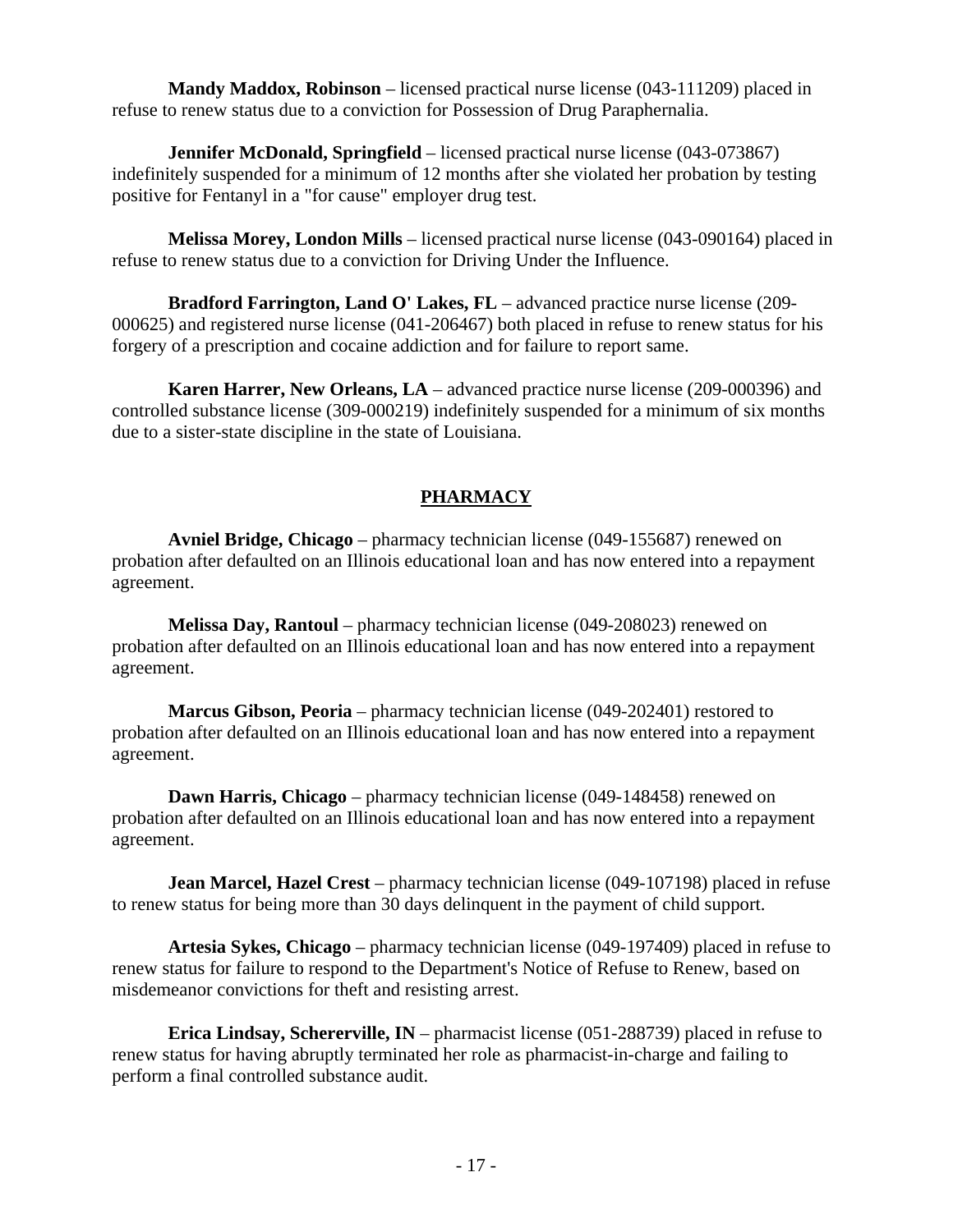**Mandy Maddox, Robinson** – licensed practical nurse license (043-111209) placed in refuse to renew status due to a conviction for Possession of Drug Paraphernalia.

**Jennifer McDonald, Springfield** – licensed practical nurse license (043-073867) indefinitely suspended for a minimum of 12 months after she violated her probation by testing positive for Fentanyl in a "for cause" employer drug test.

**Melissa Morey, London Mills** – licensed practical nurse license (043-090164) placed in refuse to renew status due to a conviction for Driving Under the Influence.

**Bradford Farrington, Land O' Lakes, FL** – advanced practice nurse license (209- 000625) and registered nurse license (041-206467) both placed in refuse to renew status for his forgery of a prescription and cocaine addiction and for failure to report same.

**Karen Harrer, New Orleans, LA** – advanced practice nurse license (209-000396) and controlled substance license (309-000219) indefinitely suspended for a minimum of six months due to a sister-state discipline in the state of Louisiana.

### **PHARMACY**

**Avniel Bridge, Chicago** – pharmacy technician license (049-155687) renewed on probation after defaulted on an Illinois educational loan and has now entered into a repayment agreement.

**Melissa Day, Rantoul** – pharmacy technician license (049-208023) renewed on probation after defaulted on an Illinois educational loan and has now entered into a repayment agreement.

**Marcus Gibson, Peoria** – pharmacy technician license (049-202401) restored to probation after defaulted on an Illinois educational loan and has now entered into a repayment agreement.

**Dawn Harris, Chicago** – pharmacy technician license (049-148458) renewed on probation after defaulted on an Illinois educational loan and has now entered into a repayment agreement.

**Jean Marcel, Hazel Crest** – pharmacy technician license (049-107198) placed in refuse to renew status for being more than 30 days delinquent in the payment of child support.

**Artesia Sykes, Chicago** – pharmacy technician license (049-197409) placed in refuse to renew status for failure to respond to the Department's Notice of Refuse to Renew, based on misdemeanor convictions for theft and resisting arrest.

**Erica Lindsay, Schererville, IN** – pharmacist license (051-288739) placed in refuse to renew status for having abruptly terminated her role as pharmacist-in-charge and failing to perform a final controlled substance audit.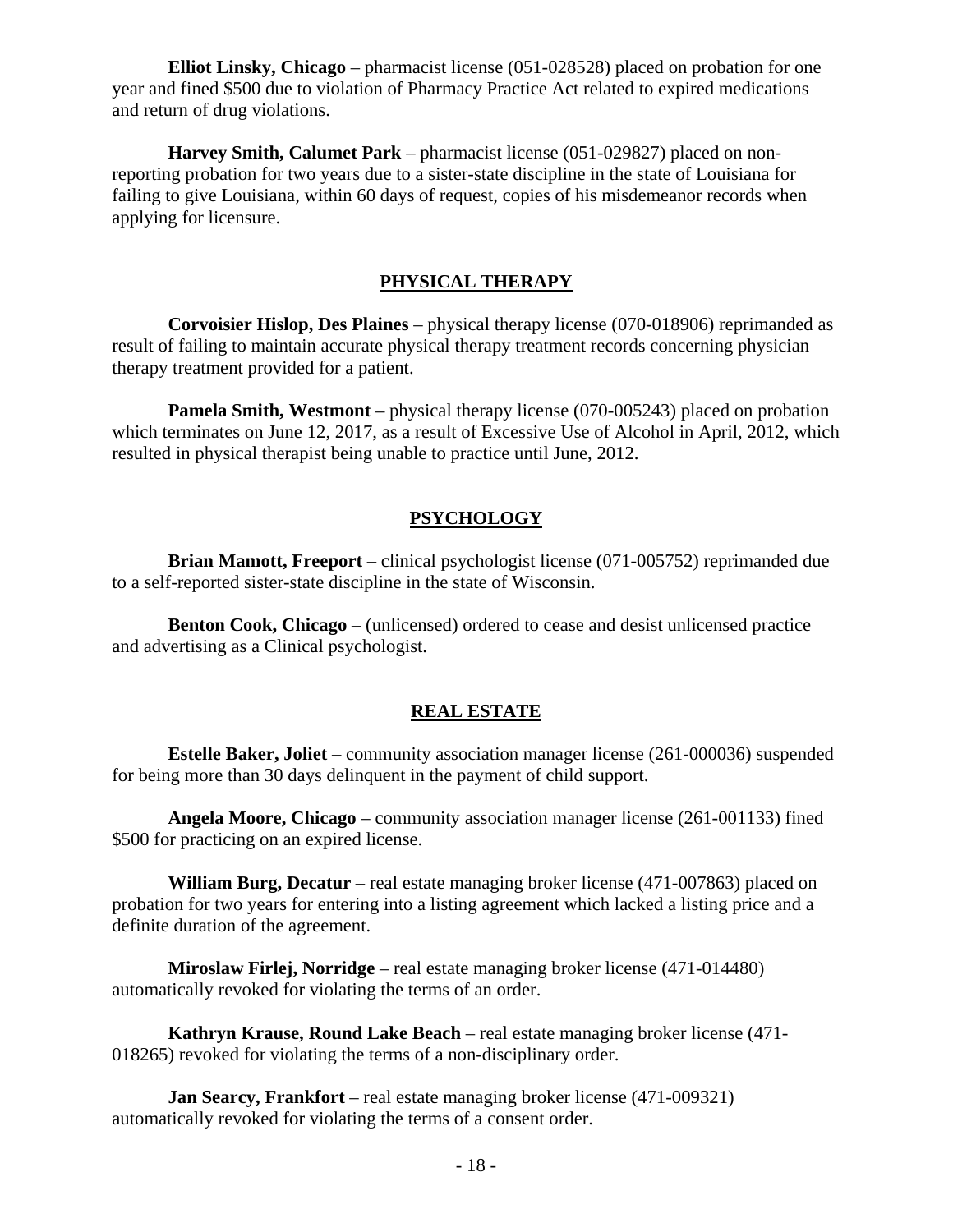**Elliot Linsky, Chicago** – pharmacist license (051-028528) placed on probation for one year and fined \$500 due to violation of Pharmacy Practice Act related to expired medications and return of drug violations.

**Harvey Smith, Calumet Park** – pharmacist license (051-029827) placed on nonreporting probation for two years due to a sister-state discipline in the state of Louisiana for failing to give Louisiana, within 60 days of request, copies of his misdemeanor records when applying for licensure.

#### **PHYSICAL THERAPY**

**Corvoisier Hislop, Des Plaines** – physical therapy license (070-018906) reprimanded as result of failing to maintain accurate physical therapy treatment records concerning physician therapy treatment provided for a patient.

**Pamela Smith, Westmont** – physical therapy license (070-005243) placed on probation which terminates on June 12, 2017, as a result of Excessive Use of Alcohol in April, 2012, which resulted in physical therapist being unable to practice until June, 2012.

### **PSYCHOLOGY**

**Brian Mamott, Freeport** – clinical psychologist license (071-005752) reprimanded due to a self-reported sister-state discipline in the state of Wisconsin.

**Benton Cook, Chicago** – (unlicensed) ordered to cease and desist unlicensed practice and advertising as a Clinical psychologist.

#### **REAL ESTATE**

**Estelle Baker, Joliet** – community association manager license (261-000036) suspended for being more than 30 days delinquent in the payment of child support.

**Angela Moore, Chicago** – community association manager license (261-001133) fined \$500 for practicing on an expired license.

**William Burg, Decatur** – real estate managing broker license (471-007863) placed on probation for two years for entering into a listing agreement which lacked a listing price and a definite duration of the agreement.

**Miroslaw Firlej, Norridge** – real estate managing broker license (471-014480) automatically revoked for violating the terms of an order.

**Kathryn Krause, Round Lake Beach** – real estate managing broker license (471- 018265) revoked for violating the terms of a non-disciplinary order.

**Jan Searcy, Frankfort** – real estate managing broker license (471-009321) automatically revoked for violating the terms of a consent order.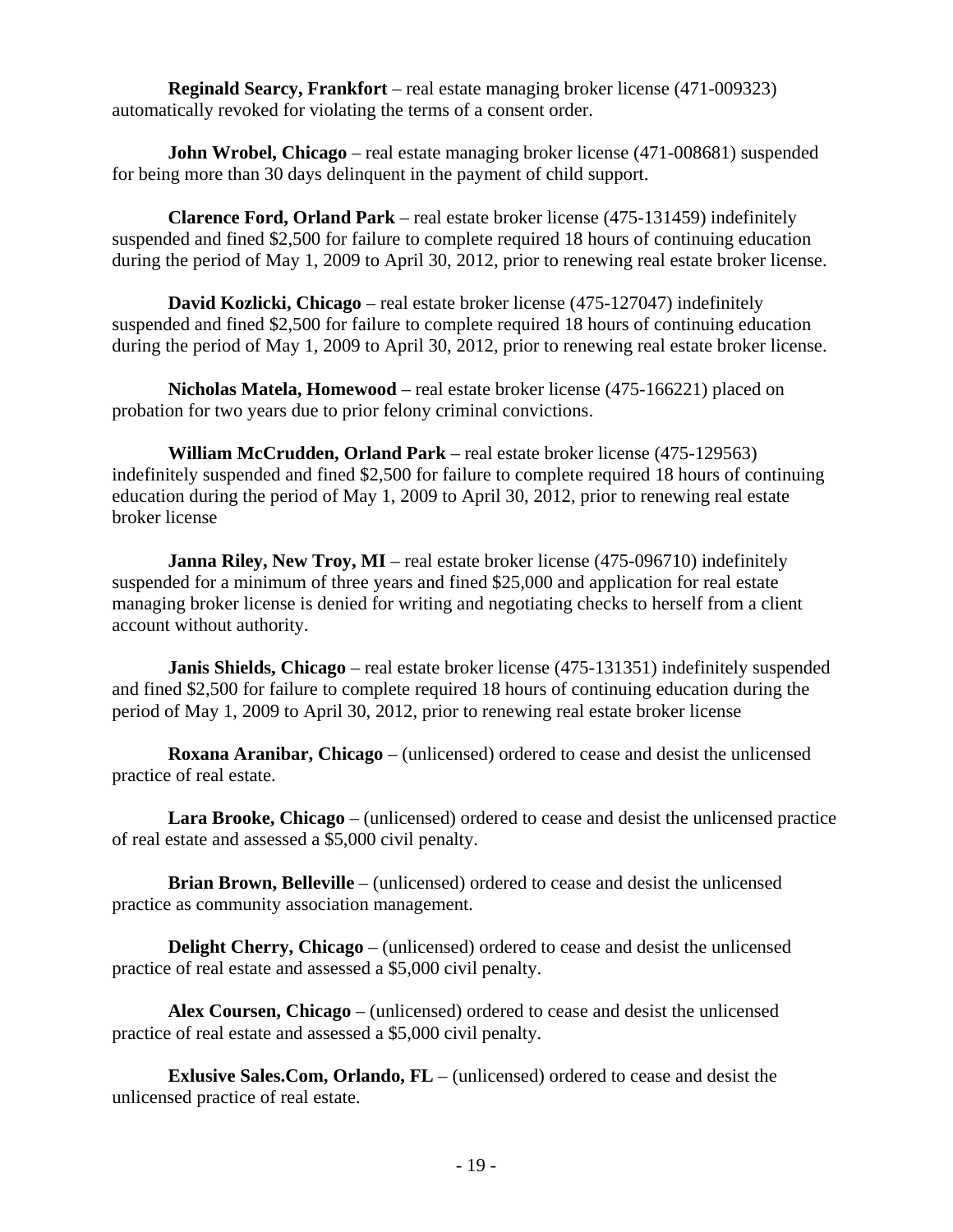**Reginald Searcy, Frankfort** – real estate managing broker license (471-009323) automatically revoked for violating the terms of a consent order.

**John Wrobel, Chicago** – real estate managing broker license (471-008681) suspended for being more than 30 days delinquent in the payment of child support.

**Clarence Ford, Orland Park** – real estate broker license (475-131459) indefinitely suspended and fined \$2,500 for failure to complete required 18 hours of continuing education during the period of May 1, 2009 to April 30, 2012, prior to renewing real estate broker license.

**David Kozlicki, Chicago** – real estate broker license (475-127047) indefinitely suspended and fined \$2,500 for failure to complete required 18 hours of continuing education during the period of May 1, 2009 to April 30, 2012, prior to renewing real estate broker license.

**Nicholas Matela, Homewood** – real estate broker license (475-166221) placed on probation for two years due to prior felony criminal convictions.

**William McCrudden, Orland Park** – real estate broker license (475-129563) indefinitely suspended and fined \$2,500 for failure to complete required 18 hours of continuing education during the period of May 1, 2009 to April 30, 2012, prior to renewing real estate broker license

**Janna Riley, New Troy, MI** – real estate broker license (475-096710) indefinitely suspended for a minimum of three years and fined \$25,000 and application for real estate managing broker license is denied for writing and negotiating checks to herself from a client account without authority.

**Janis Shields, Chicago** – real estate broker license (475-131351) indefinitely suspended and fined \$2,500 for failure to complete required 18 hours of continuing education during the period of May 1, 2009 to April 30, 2012, prior to renewing real estate broker license

**Roxana Aranibar, Chicago** – (unlicensed) ordered to cease and desist the unlicensed practice of real estate.

**Lara Brooke, Chicago** – (unlicensed) ordered to cease and desist the unlicensed practice of real estate and assessed a \$5,000 civil penalty.

**Brian Brown, Belleville** – (unlicensed) ordered to cease and desist the unlicensed practice as community association management.

**Delight Cherry, Chicago** – (unlicensed) ordered to cease and desist the unlicensed practice of real estate and assessed a \$5,000 civil penalty.

**Alex Coursen, Chicago** – (unlicensed) ordered to cease and desist the unlicensed practice of real estate and assessed a \$5,000 civil penalty.

**Exlusive Sales.Com, Orlando, FL** – (unlicensed) ordered to cease and desist the unlicensed practice of real estate.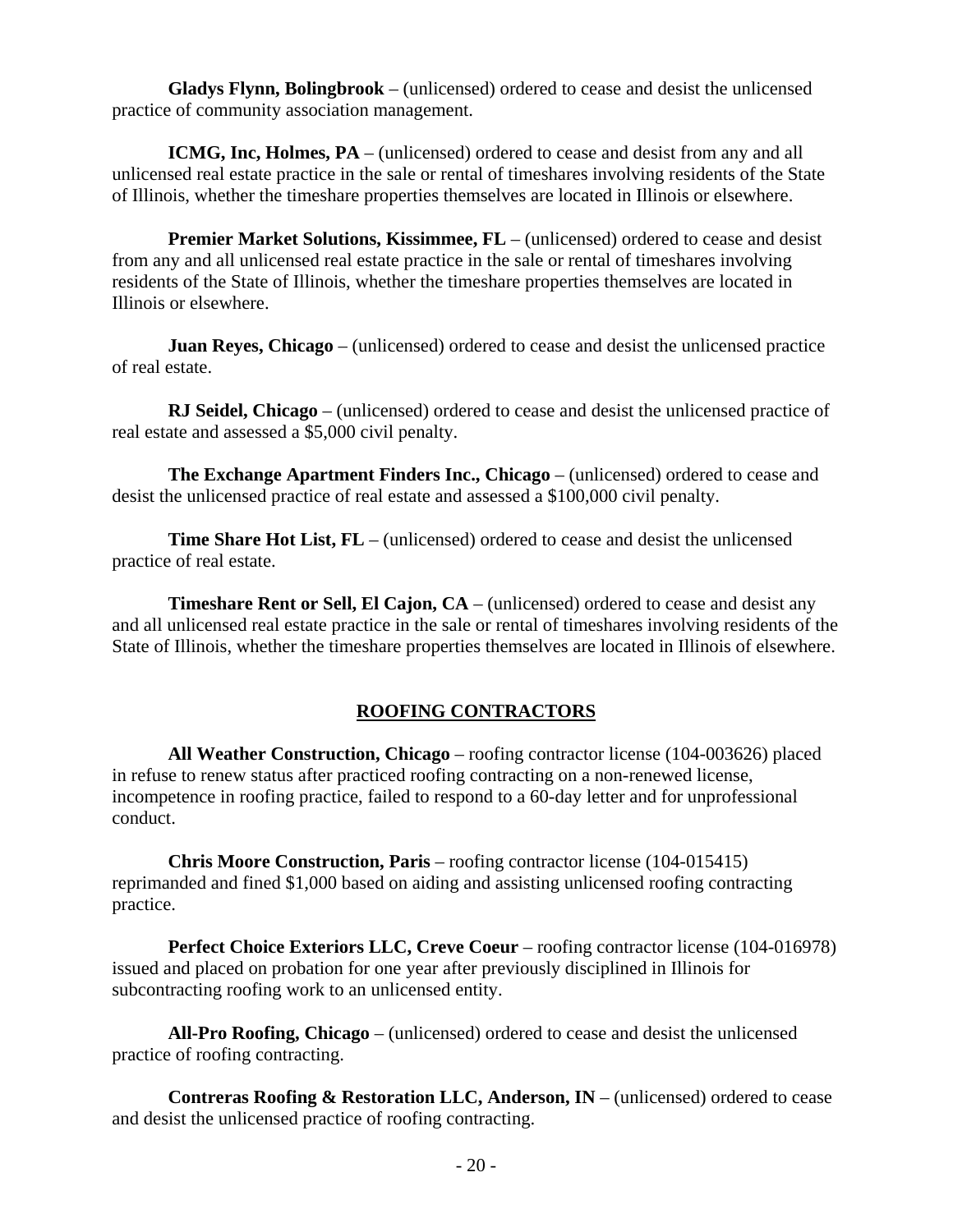**Gladys Flynn, Bolingbrook** – (unlicensed) ordered to cease and desist the unlicensed practice of community association management.

**ICMG, Inc, Holmes, PA** – (unlicensed) ordered to cease and desist from any and all unlicensed real estate practice in the sale or rental of timeshares involving residents of the State of Illinois, whether the timeshare properties themselves are located in Illinois or elsewhere.

**Premier Market Solutions, Kissimmee, FL** – (unlicensed) ordered to cease and desist from any and all unlicensed real estate practice in the sale or rental of timeshares involving residents of the State of Illinois, whether the timeshare properties themselves are located in Illinois or elsewhere.

**Juan Reyes, Chicago** – (unlicensed) ordered to cease and desist the unlicensed practice of real estate.

**RJ Seidel, Chicago** – (unlicensed) ordered to cease and desist the unlicensed practice of real estate and assessed a \$5,000 civil penalty.

**The Exchange Apartment Finders Inc., Chicago** – (unlicensed) ordered to cease and desist the unlicensed practice of real estate and assessed a \$100,000 civil penalty.

**Time Share Hot List, FL** – (unlicensed) ordered to cease and desist the unlicensed practice of real estate.

**Timeshare Rent or Sell, El Cajon, CA** – (unlicensed) ordered to cease and desist any and all unlicensed real estate practice in the sale or rental of timeshares involving residents of the State of Illinois, whether the timeshare properties themselves are located in Illinois of elsewhere.

### **ROOFING CONTRACTORS**

**All Weather Construction, Chicago** – roofing contractor license (104-003626) placed in refuse to renew status after practiced roofing contracting on a non-renewed license, incompetence in roofing practice, failed to respond to a 60-day letter and for unprofessional conduct.

**Chris Moore Construction, Paris** – roofing contractor license (104-015415) reprimanded and fined \$1,000 based on aiding and assisting unlicensed roofing contracting practice.

**Perfect Choice Exteriors LLC, Creve Coeur** – roofing contractor license (104-016978) issued and placed on probation for one year after previously disciplined in Illinois for subcontracting roofing work to an unlicensed entity.

**All-Pro Roofing, Chicago** – (unlicensed) ordered to cease and desist the unlicensed practice of roofing contracting.

**Contreras Roofing & Restoration LLC, Anderson, IN** – (unlicensed) ordered to cease and desist the unlicensed practice of roofing contracting.